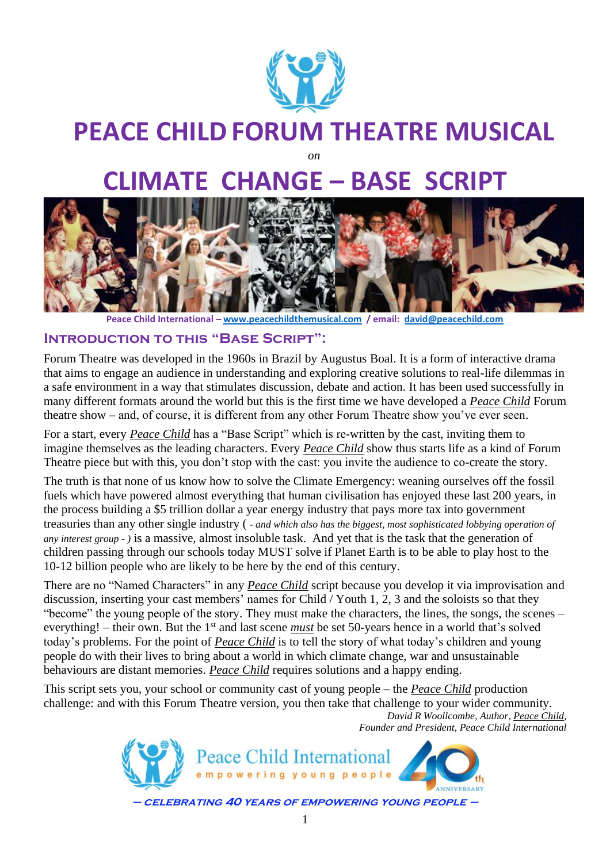

# **PEACE CHILD FORUM THEATRE MUSICAL**

*on*

# **CLIMATE CHANGE – BASE SCRIPT**



**Peace Child International – [www.peacechildthemusical.com](http://www.peacechildthemusical.com/) / email: [david@peacechild.com](mailto:david@peacechild.com)**

# **Introduction to this "Base Script":**

Forum Theatre was developed in the 1960s in Brazil by Augustus Boal. It is a form of interactive drama that aims to engage an audience in understanding and exploring creative solutions to real-life dilemmas in a safe environment in a way that stimulates discussion, debate and action. It has been used successfully in many different formats around the world but this is the first time we have developed a *Peace Child* Forum theatre show – and, of course, it is different from any other Forum Theatre show you've ever seen.

For a start, every *Peace Child* has a "Base Script" which is re-written by the cast, inviting them to imagine themselves as the leading characters. Every *Peace Child* show thus starts life as a kind of Forum Theatre piece but with this, you don't stop with the cast: you invite the audience to co-create the story.

The truth is that none of us know how to solve the Climate Emergency: weaning ourselves off the fossil fuels which have powered almost everything that human civilisation has enjoyed these last 200 years, in the process building a \$5 trillion dollar a year energy industry that pays more tax into government treasuries than any other single industry ( *- and which also has the biggest, most sophisticated lobbying operation of any interest group - )* is a massive, almost insoluble task. And yet that is the task that the generation of children passing through our schools today MUST solve if Planet Earth is to be able to play host to the 10-12 billion people who are likely to be here by the end of this century.

There are no "Named Characters" in any *Peace Child* script because you develop it via improvisation and discussion, inserting your cast members' names for Child / Youth 1, 2, 3 and the soloists so that they "become" the young people of the story. They must make the characters, the lines, the songs, the scenes – everything! – their own. But the 1<sup>st</sup> and last scene *must* be set 50-years hence in a world that's solved today's problems. For the point of *Peace Child* is to tell the story of what today's children and young people do with their lives to bring about a world in which climate change, war and unsustainable behaviours are distant memories. *Peace Child* requires solutions and a happy ending.

This script sets you, your school or community cast of young people – the *Peace Child* production challenge: and with this Forum Theatre version, you then take that challenge to your wider community. *David R Woollcombe, Author, Peace Child,*

*Founder and President, Peace Child International*

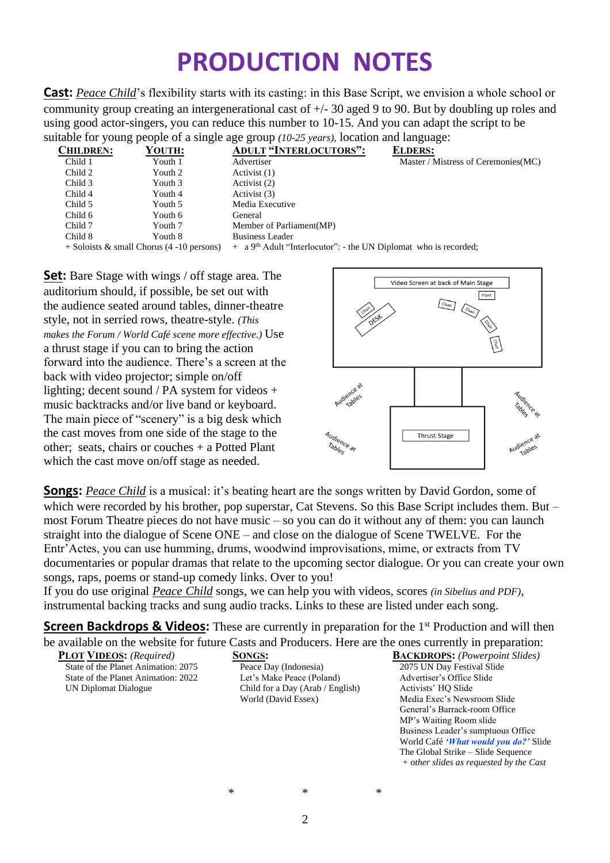# **PRODUCTION NOTES**

**Cast:** *Peace Child*'s flexibility starts with its casting: in this Base Script, we envision a whole school or community group creating an intergenerational cast of +/- 30 aged 9 to 90. But by doubling up roles and using good actor-singers, you can reduce this number to 10-15. And you can adapt the script to be suitable for young people of a single age group *(10-25 years),* location and language:

|                  | ັ                                           |                                                                                |                                      |
|------------------|---------------------------------------------|--------------------------------------------------------------------------------|--------------------------------------|
| <b>CHILDREN:</b> | YOUTH:                                      | <b>ADULT "INTERLOCUTORS":</b>                                                  | <b>ELDERS:</b>                       |
| Child 1          | Youth 1                                     | Advertiser                                                                     | Master / Mistress of Ceremonies (MC) |
| Child 2          | Youth 2                                     | Activist (1)                                                                   |                                      |
| Child 3          | Youth 3                                     | Activist (2)                                                                   |                                      |
| Child 4          | Youth 4                                     | Activist (3)                                                                   |                                      |
| Child 5          | Youth 5                                     | Media Executive                                                                |                                      |
| Child 6          | Youth 6                                     | General                                                                        |                                      |
| Child 7          | Youth 7                                     | Member of Parliament (MP)                                                      |                                      |
| Child 8          | Youth 8                                     | Business Leader                                                                |                                      |
|                  | $+$ Soloists & small Chorus (4 -10 persons) | $+$ a 9 <sup>th</sup> Adult "Interlocutor": - the UN Diplomat who is recorded; |                                      |
|                  |                                             |                                                                                |                                      |

**Set:** Bare Stage with wings / off stage area. The auditorium should, if possible, be set out with the audience seated around tables, dinner-theatre style, not in serried rows, theatre-style. *(This makes the Forum / World Café scene more effective.)* Use a thrust stage if you can to bring the action forward into the audience. There's a screen at the back with video projector; simple on/off lighting; decent sound / PA system for videos + music backtracks and/or live band or keyboard. The main piece of "scenery" is a big desk which the cast moves from one side of the stage to the other; seats, chairs or couches + a Potted Plant which the cast move on/off stage as needed.



**Songs:** *Peace Child* is a musical: it's beating heart are the songs written by David Gordon, some of which were recorded by his brother, pop superstar, Cat Stevens. So this Base Script includes them. But – most Forum Theatre pieces do not have music – so you can do it without any of them: you can launch straight into the dialogue of Scene ONE – and close on the dialogue of Scene TWELVE. For the Entr'Actes, you can use humming, drums, woodwind improvisations, mime, or extracts from TV documentaries or popular dramas that relate to the upcoming sector dialogue. Or you can create your own songs, raps, poems or stand-up comedy links. Over to you!

If you do use original *Peace Child* songs, we can help you with videos, scores *(in Sibelius and PDF)*, instrumental backing tracks and sung audio tracks. Links to these are listed under each song.

**Screen Backdrops & Videos:** These are currently in preparation for the 1<sup>st</sup> Production and will then be available on the website for future Casts and Producers. Here are the ones currently in preparation:

| <b>PLOT VIDEOS:</b> (Required)      | <b>SONGS:</b>                    | <b>BACKDROPS:</b> (Powerpoint Slides)          |
|-------------------------------------|----------------------------------|------------------------------------------------|
| State of the Planet Animation: 2075 | Peace Day (Indonesia)            | 2075 UN Day Festival Slide                     |
| State of the Planet Animation: 2022 | Let's Make Peace (Poland)        | Advertiser's Office Slide                      |
| UN Diplomat Dialogue                | Child for a Day (Arab / English) | Activists' HO Slide                            |
|                                     | World (David Essex)              | Media Exec's Newsroom Slide                    |
|                                     |                                  | General's Barrack-room Office                  |
|                                     |                                  | MP's Waiting Room slide                        |
|                                     |                                  | Business Leader's sumptuous Office             |
|                                     |                                  | World Café ' <i>What would you do?</i> ' Slide |
|                                     |                                  | The Global Strike – Slide Sequence             |
|                                     |                                  | $+$ other slides as requested by the Cast      |
|                                     |                                  |                                                |

 $\overline{2}$ 

\* \* \*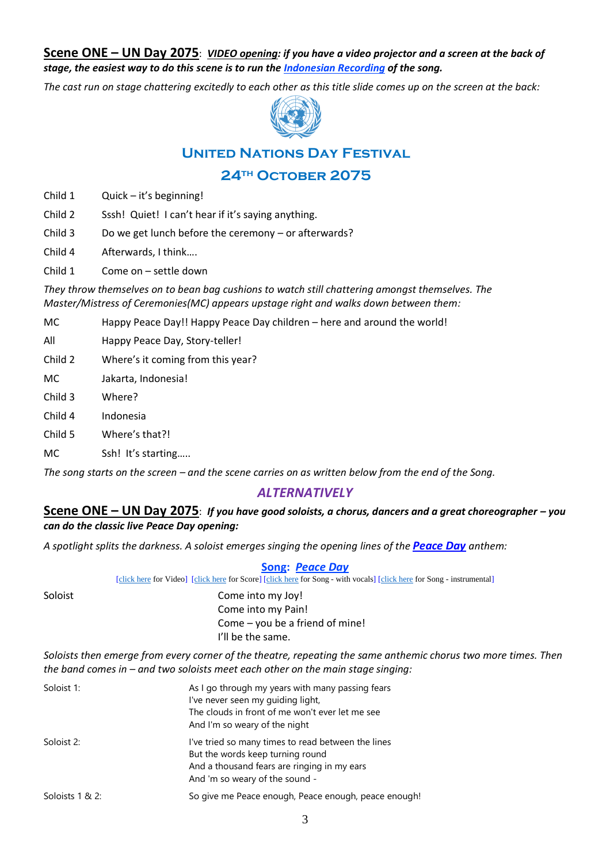**Scene ONE – UN Day 2075**: *VIDEO opening: if you have a video projector and a screen at the back of stage, the easiest way to do this scene is to run the [Indonesian Recording](https://www.youtube.com/watch?v=RSk1Mrbu2t0&list=PL_qdrSQ9jyOytAElZ_ZEUpmMbd4ohxuv4&index=1) of the song.* 

*The cast run on stage chattering excitedly to each other as this title slide comes up on the screen at the back:* 



# **United Nations Day Festival**

# **24th October 2075**

- Child 1 Quick it's beginning!
- Child 2 Sssh! Quiet! I can't hear if it's saying anything.
- Child 3 Do we get lunch before the ceremony or afterwards?
- Child 4 Afterwards, I think….
- Child 1 Come on settle down

*They throw themselves on to bean bag cushions to watch still chattering amongst themselves. The Master/Mistress of Ceremonies(MC) appears upstage right and walks down between them:*

- MC Happy Peace Day!! Happy Peace Day children here and around the world!
- All Happy Peace Day, Story-teller!
- Child 2 Where's it coming from this year?
- MC Jakarta, Indonesia!
- Child 3 Where?
- Child 4 Indonesia
- Child 5 Where's that?!
- MC Ssh! It's starting.....

*The song starts on the screen – and the scene carries on as written below from the end of the Song.* 

# *ALTERNATIVELY*

#### **Scene ONE – UN Day 2075**: *If you have good soloists, a chorus, dancers and a great choreographer – you can do the classic live Peace Day opening:*

*A spotlight splits the darkness. A soloist emerges singing the opening lines of the Peace Day anthem:*

#### **Song:** *Peace Day*

[\[click here](http://www.peacechildthemusical.com/wp-content/uploads/2018/10/Peace-Day-Instrumental.m4a) for Video] [\[click here](http://www.peacechildthemusical.com/wp-content/uploads/2018/10/Peace-Day-NR.m4a) for Score] [click here for Song - with vocals] [click here for Song - instrumental]

Soloist Come into my Joy! Come into my Pain! Come – you be a friend of mine! I'll be the same.

*Soloists then emerge from every corner of the theatre, repeating the same anthemic chorus two more times. Then the band comes in – and two soloists meet each other on the main stage singing:*

| Soloist 1:      | As I go through my years with many passing fears<br>I've never seen my quiding light,<br>The clouds in front of me won't ever let me see<br>And I'm so weary of the night |
|-----------------|---------------------------------------------------------------------------------------------------------------------------------------------------------------------------|
| Soloist 2:      | I've tried so many times to read between the lines<br>But the words keep turning round<br>And a thousand fears are ringing in my ears<br>And 'm so weary of the sound -   |
| Soloists 1 & 2: | So give me Peace enough, Peace enough, peace enough!                                                                                                                      |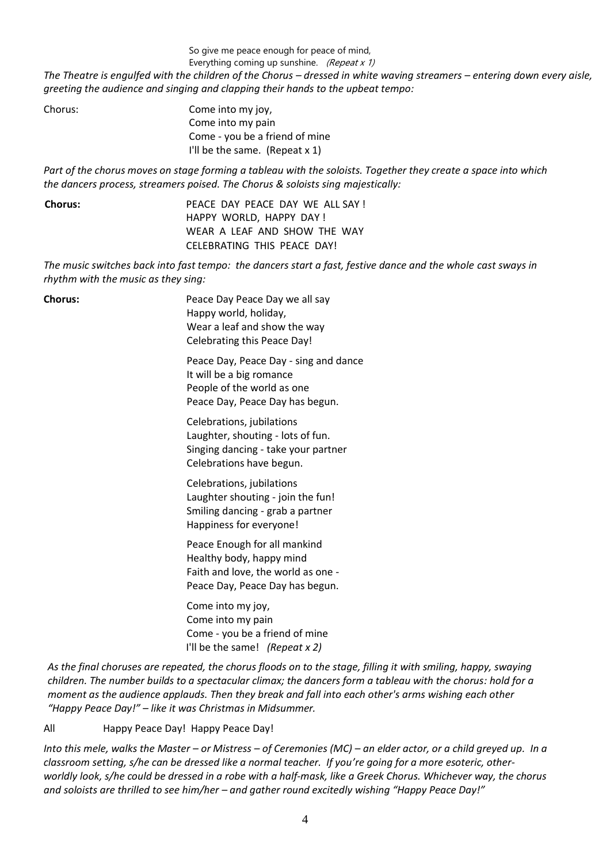So give me peace enough for peace of mind,

Everything coming up sunshine. (Repeat  $x$  1)

*The Theatre is engulfed with the children of the Chorus – dressed in white waving streamers – entering down every aisle, greeting the audience and singing and clapping their hands to the upbeat tempo:*

| Come into my joy,                 |
|-----------------------------------|
| Come into my pain                 |
| Come - you be a friend of mine    |
| I'll be the same. (Repeat $x 1$ ) |
|                                   |

*Part of the chorus moves on stage forming a tableau with the soloists. Together they create a space into which the dancers process, streamers poised. The Chorus & soloists sing majestically:*

| <b>Chorus:</b> | PEACE DAY PEACE DAY WE ALL SAY! |
|----------------|---------------------------------|
|                | HAPPY WORLD, HAPPY DAY!         |
|                | WEAR A LEAF AND SHOW THE WAY    |
|                | CELEBRATING THIS PEACE DAY!     |

*The music switches back into fast tempo: the dancers start a fast, festive dance and the whole cast sways in rhythm with the music as they sing:*

| <b>Chorus:</b> | Peace Day Peace Day we all say<br>Happy world, holiday,<br>Wear a leaf and show the way<br>Celebrating this Peace Day!             |
|----------------|------------------------------------------------------------------------------------------------------------------------------------|
|                | Peace Day, Peace Day - sing and dance<br>It will be a big romance<br>People of the world as one<br>Peace Day, Peace Day has begun. |
|                | Celebrations, jubilations<br>Laughter, shouting - lots of fun.<br>Singing dancing - take your partner<br>Celebrations have begun.  |
|                | Celebrations, jubilations<br>Laughter shouting - join the fun!<br>Smiling dancing - grab a partner<br>Happiness for everyone!      |
|                | Peace Enough for all mankind<br>Healthy body, happy mind<br>Faith and love, the world as one -<br>Peace Day, Peace Day has begun.  |
|                | Come into my joy,<br>Come into my pain<br>Come - you be a friend of mine<br>I'll be the same! (Repeat $x$ 2)                       |
|                |                                                                                                                                    |

*As the final choruses are repeated, the chorus floods on to the stage, filling it with smiling, happy, swaying children. The number builds to a spectacular climax; the dancers form a tableau with the chorus: hold for a moment as the audience applauds. Then they break and fall into each other's arms wishing each other "Happy Peace Day!" – like it was Christmas in Midsummer.*

All Happy Peace Day! Happy Peace Day!

*Into this mele, walks the Master – or Mistress – of Ceremonies (MC) – an elder actor, or a child greyed up. In a classroom setting, s/he can be dressed like a normal teacher. If you're going for a more esoteric, otherworldly look, s/he could be dressed in a robe with a half-mask, like a Greek Chorus. Whichever way, the chorus and soloists are thrilled to see him/her – and gather round excitedly wishing "Happy Peace Day!"*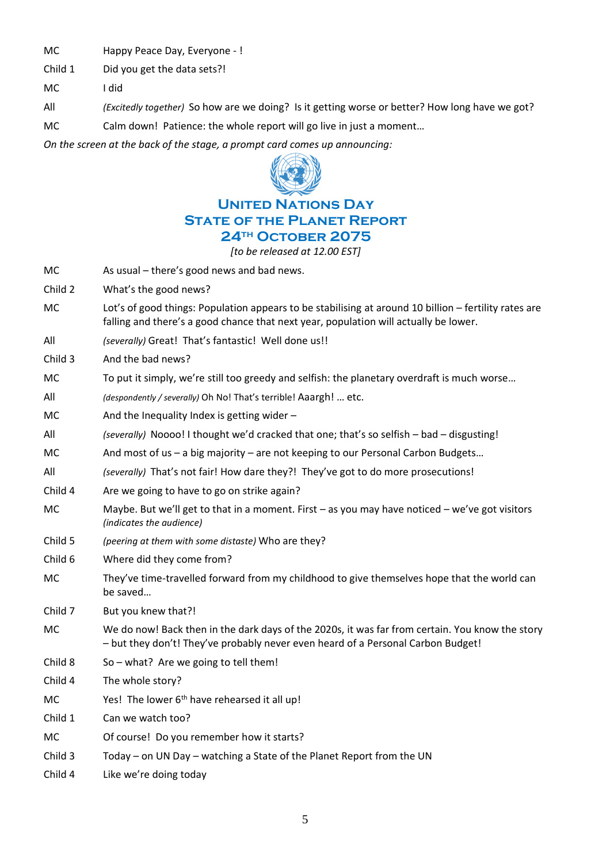MC Happy Peace Day, Everyone - !

Child 1 Did you get the data sets?!

MC I did

All *(Excitedly together)* So how are we doing? Is it getting worse or better? How long have we got?

MC Calm down! Patience: the whole report will go live in just a moment…

*On the screen at the back of the stage, a prompt card comes up announcing:*



# **United Nations Day State of the Planet Report 24th October 2075**

*[to be released at 12.00 EST]*

- MC As usual there's good news and bad news.
- Child 2 What's the good news?
- MC Lot's of good things: Population appears to be stabilising at around 10 billion fertility rates are falling and there's a good chance that next year, population will actually be lower.
- All *(severally)* Great! That's fantastic! Well done us!!
- Child 3 And the bad news?
- MC To put it simply, we're still too greedy and selfish: the planetary overdraft is much worse...
- All *(despondently / severally)* Oh No! That's terrible! Aaargh! … etc.
- MC  $\blacksquare$  And the Inequality Index is getting wider –
- All *(severally)* Noooo! I thought we'd cracked that one; that's so selfish bad disgusting!
- MC And most of us a big majority are not keeping to our Personal Carbon Budgets…
- All *(severally)* That's not fair! How dare they?! They've got to do more prosecutions!
- Child 4 Are we going to have to go on strike again?
- MC Maybe. But we'll get to that in a moment. First as you may have noticed we've got visitors *(indicates the audience)*
- Child 5 *(peering at them with some distaste)* Who are they?
- Child 6 Where did they come from?
- MC They've time-travelled forward from my childhood to give themselves hope that the world can be saved…
- Child 7 But you knew that?!
- MC We do now! Back then in the dark days of the 2020s, it was far from certain. You know the story – but they don't! They've probably never even heard of a Personal Carbon Budget!
- Child  $8$  So what? Are we going to tell them!
- Child 4 The whole story?
- MC Yes! The lower  $6<sup>th</sup>$  have rehearsed it all up!
- Child 1 Can we watch too?
- MC Of course! Do you remember how it starts?
- Child 3 Today on UN Day watching a State of the Planet Report from the UN
- Child 4 Like we're doing today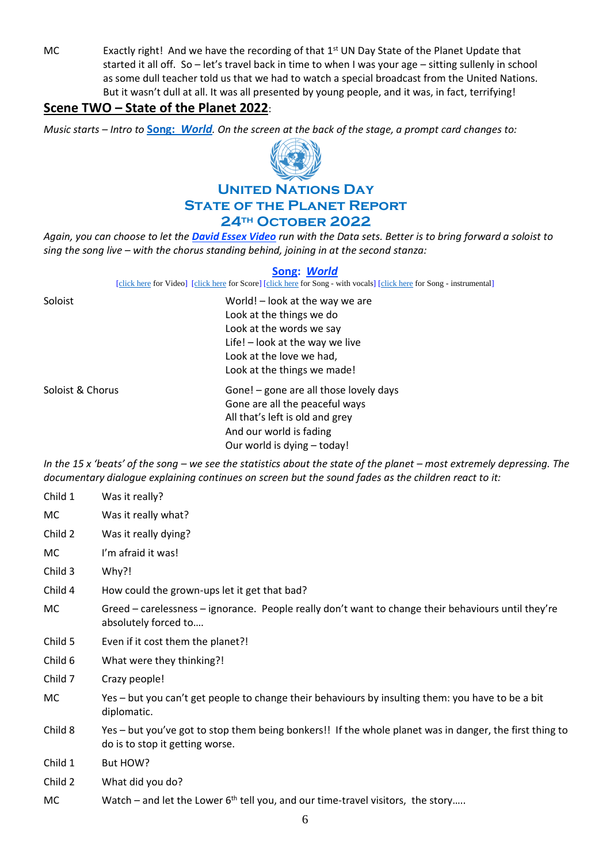MC Exactly right! And we have the recording of that 1<sup>st</sup> UN Day State of the Planet Update that started it all off. So – let's travel back in time to when I was your age – sitting sullenly in school as some dull teacher told us that we had to watch a special broadcast from the United Nations. But it wasn't dull at all. It was all presented by young people, and it was, in fact, terrifying!

# **Scene TWO – State of the Planet 2022**:

*Music starts – Intro to* **Song:** *[World](https://www.youtube.com/watch?v=wFHvPb3gegY). On the screen at the back of the stage, a prompt card changes to:*



# **United Nations Day State of the Planet Report 24th October 2022**

*Again, you can choose to let the [David Essex Video](https://www.youtube.com/watch?v=wFHvPb3gegY) run with the Data sets. Better is to bring forward a soloist to sing the song live – with the chorus standing behind, joining in at the second stanza:*

#### **Song:** *World*

[\[click here](https://www.peacechildthemusical.com/wp-content/uploads/2021/06/World-backtrack-in-E.mp4) for Video] [\[click here](http://www.peacechildthemusical.com/wp-content/uploads/2018/10/World.m4a) for Score] [click here for Song - with vocals] [click here for Song - instrumental]

| Soloist          | World! – look at the way we are<br>Look at the things we do<br>Look at the words we say<br>Life! - look at the way we live<br>Look at the love we had,<br>Look at the things we made! |
|------------------|---------------------------------------------------------------------------------------------------------------------------------------------------------------------------------------|
| Soloist & Chorus | Gone! - gone are all those lovely days<br>Gone are all the peaceful ways<br>All that's left is old and grey<br>And our world is fading<br>Our world is dying - today!                 |

*In the 15 x 'beats' of the song – we see the statistics about the state of the planet – most extremely depressing. The documentary dialogue explaining continues on screen but the sound fades as the children react to it:* 

| Child 1 | Was it really?                                                                                                                             |
|---------|--------------------------------------------------------------------------------------------------------------------------------------------|
| MC.     | Was it really what?                                                                                                                        |
| Child 2 | Was it really dying?                                                                                                                       |
| MC      | I'm afraid it was!                                                                                                                         |
| Child 3 | Why?!                                                                                                                                      |
| Child 4 | How could the grown-ups let it get that bad?                                                                                               |
| MC      | Greed – carelessness – ignorance. People really don't want to change their behaviours until they're<br>absolutely forced to                |
| Child 5 | Even if it cost them the planet?!                                                                                                          |
| Child 6 | What were they thinking?!                                                                                                                  |
| Child 7 | Crazy people!                                                                                                                              |
| МC      | Yes – but you can't get people to change their behaviours by insulting them: you have to be a bit<br>diplomatic.                           |
| Child 8 | Yes – but you've got to stop them being bonkers!! If the whole planet was in danger, the first thing to<br>do is to stop it getting worse. |
| Child 1 | But HOW?                                                                                                                                   |
| Child 2 | What did you do?                                                                                                                           |
| MC      | Watch – and let the Lower $6th$ tell you, and our time-travel visitors, the story                                                          |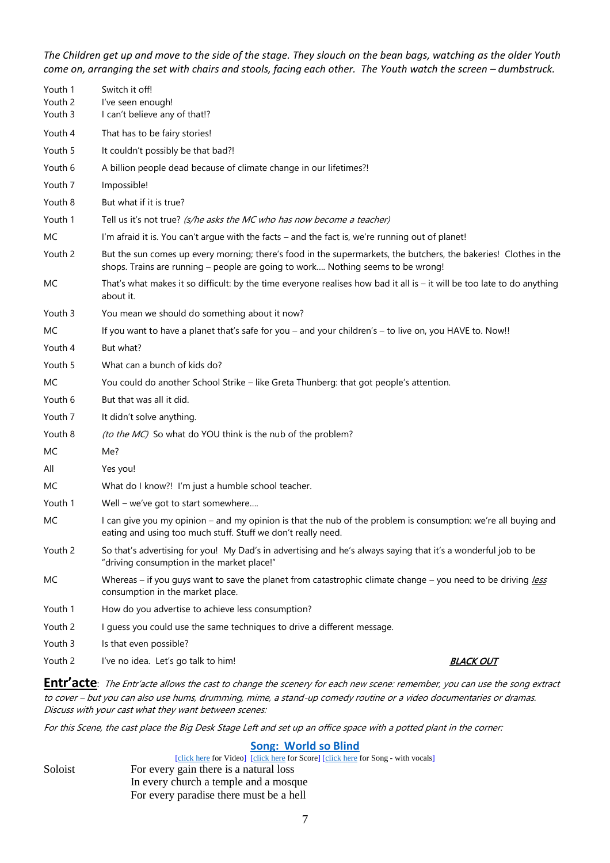*The Children get up and move to the side of the stage. They slouch on the bean bags, watching as the older Youth come on, arranging the set with chairs and stools, facing each other. The Youth watch the screen – dumbstruck.* 

| Youth 1<br>Youth 2<br>Youth 3 | Switch it off!<br>l've seen enough!<br>I can't believe any of that!?                                                                                                                                |                  |
|-------------------------------|-----------------------------------------------------------------------------------------------------------------------------------------------------------------------------------------------------|------------------|
| Youth 4                       | That has to be fairy stories!                                                                                                                                                                       |                  |
| Youth 5                       | It couldn't possibly be that bad?!                                                                                                                                                                  |                  |
| Youth 6                       | A billion people dead because of climate change in our lifetimes?!                                                                                                                                  |                  |
| Youth 7                       | Impossible!                                                                                                                                                                                         |                  |
| Youth 8                       | But what if it is true?                                                                                                                                                                             |                  |
| Youth 1                       | Tell us it's not true? (s/he asks the MC who has now become a teacher)                                                                                                                              |                  |
| MC                            | I'm afraid it is. You can't argue with the facts - and the fact is, we're running out of planet!                                                                                                    |                  |
| Youth 2                       | But the sun comes up every morning; there's food in the supermarkets, the butchers, the bakeries! Clothes in the<br>shops. Trains are running - people are going to work Nothing seems to be wrong! |                  |
| МC                            | That's what makes it so difficult: by the time everyone realises how bad it all is $-$ it will be too late to do anything<br>about it.                                                              |                  |
| Youth 3                       | You mean we should do something about it now?                                                                                                                                                       |                  |
| МC                            | If you want to have a planet that's safe for you - and your children's - to live on, you HAVE to. Now!!                                                                                             |                  |
| Youth 4                       | But what?                                                                                                                                                                                           |                  |
| Youth 5                       | What can a bunch of kids do?                                                                                                                                                                        |                  |
| MC                            | You could do another School Strike - like Greta Thunberg: that got people's attention.                                                                                                              |                  |
| Youth 6                       | But that was all it did.                                                                                                                                                                            |                  |
| Youth 7                       | It didn't solve anything.                                                                                                                                                                           |                  |
| Youth 8                       | <i>(to the MC)</i> So what do YOU think is the nub of the problem?                                                                                                                                  |                  |
| МC                            | Me?                                                                                                                                                                                                 |                  |
| All                           | Yes you!                                                                                                                                                                                            |                  |
| МC                            | What do I know?! I'm just a humble school teacher.                                                                                                                                                  |                  |
| Youth 1                       | Well – we've got to start somewhere                                                                                                                                                                 |                  |
| МC                            | I can give you my opinion – and my opinion is that the nub of the problem is consumption: we're all buying and<br>eating and using too much stuff. Stuff we don't really need.                      |                  |
| Youth 2                       | So that's advertising for you! My Dad's in advertising and he's always saying that it's a wonderful job to be<br>"driving consumption in the market place!"                                         |                  |
| МC                            | Whereas - if you guys want to save the planet from catastrophic climate change - you need to be driving less<br>consumption in the market place.                                                    |                  |
| Youth 1                       | How do you advertise to achieve less consumption?                                                                                                                                                   |                  |
| Youth 2                       | I guess you could use the same techniques to drive a different message.                                                                                                                             |                  |
| Youth 3                       | Is that even possible?                                                                                                                                                                              |                  |
| Youth 2                       | I've no idea. Let's go talk to him!                                                                                                                                                                 | <b>BLACK OUT</b> |

**Entr'acte**: The Entr'acte allows the cast to change the scenery for each new scene: remember, you can use the song extract to cover – but you can also use hums, drumming, mime, a stand-up comedy routine or a video documentaries or dramas. Discuss with your cast what they want between scenes:

For this Scene, the cast place the Big Desk Stage Left and set up an office space with a potted plant in the corner:

#### **[Song: World so Blind](https://www.youtube.com/watch?v=mKzakGp4kmw)**

|         | [click here for Video] [click here for Score] [click here for Song - with vocals] |
|---------|-----------------------------------------------------------------------------------|
| Soloist | For every gain there is a natural loss                                            |
|         | In every church a temple and a mosque                                             |
|         | For every paradise there must be a hell                                           |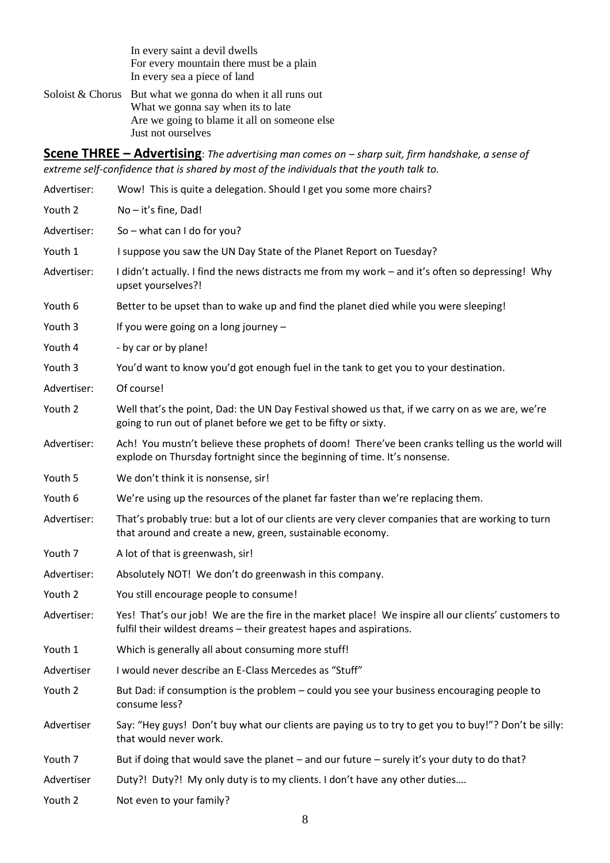In every saint a devil dwells For every mountain there must be a plain In every sea a piece of land

Soloist  $& Chorus$  But what we gonna do when it all runs out What we gonna say when its to late Are we going to blame it all on someone else Just not ourselves

**Scene THREE – Advertising**: *The advertising man comes on – sharp suit, firm handshake, a sense of extreme self-confidence that is shared by most of the individuals that the youth talk to.*

| Advertiser: | Wow! This is quite a delegation. Should I get you some more chairs?                                                                                                          |
|-------------|------------------------------------------------------------------------------------------------------------------------------------------------------------------------------|
| Youth 2     | No-it's fine, Dad!                                                                                                                                                           |
| Advertiser: | So – what can I do for you?                                                                                                                                                  |
| Youth 1     | I suppose you saw the UN Day State of the Planet Report on Tuesday?                                                                                                          |
| Advertiser: | I didn't actually. I find the news distracts me from my work - and it's often so depressing! Why<br>upset yourselves?!                                                       |
| Youth 6     | Better to be upset than to wake up and find the planet died while you were sleeping!                                                                                         |
| Youth 3     | If you were going on a long journey -                                                                                                                                        |
| Youth 4     | - by car or by plane!                                                                                                                                                        |
| Youth 3     | You'd want to know you'd got enough fuel in the tank to get you to your destination.                                                                                         |
| Advertiser: | Of course!                                                                                                                                                                   |
| Youth 2     | Well that's the point, Dad: the UN Day Festival showed us that, if we carry on as we are, we're<br>going to run out of planet before we get to be fifty or sixty.            |
| Advertiser: | Ach! You mustn't believe these prophets of doom! There've been cranks telling us the world will<br>explode on Thursday fortnight since the beginning of time. It's nonsense. |
| Youth 5     | We don't think it is nonsense, sir!                                                                                                                                          |
| Youth 6     | We're using up the resources of the planet far faster than we're replacing them.                                                                                             |
| Advertiser: | That's probably true: but a lot of our clients are very clever companies that are working to turn<br>that around and create a new, green, sustainable economy.               |
| Youth 7     | A lot of that is greenwash, sir!                                                                                                                                             |
| Advertiser: | Absolutely NOT! We don't do greenwash in this company.                                                                                                                       |
| Youth 2     | You still encourage people to consume!                                                                                                                                       |
| Advertiser: | Yes! That's our job! We are the fire in the market place! We inspire all our clients' customers to<br>fulfil their wildest dreams - their greatest hapes and aspirations.    |
| Youth 1     | Which is generally all about consuming more stuff!                                                                                                                           |
| Advertiser  | I would never describe an E-Class Mercedes as "Stuff"                                                                                                                        |
| Youth 2     | But Dad: if consumption is the problem - could you see your business encouraging people to<br>consume less?                                                                  |
| Advertiser  | Say: "Hey guys! Don't buy what our clients are paying us to try to get you to buy!"? Don't be silly:<br>that would never work.                                               |
| Youth 7     | But if doing that would save the planet - and our future - surely it's your duty to do that?                                                                                 |
| Advertiser  | Duty?! Duty?! My only duty is to my clients. I don't have any other duties                                                                                                   |
| Youth 2     | Not even to your family?                                                                                                                                                     |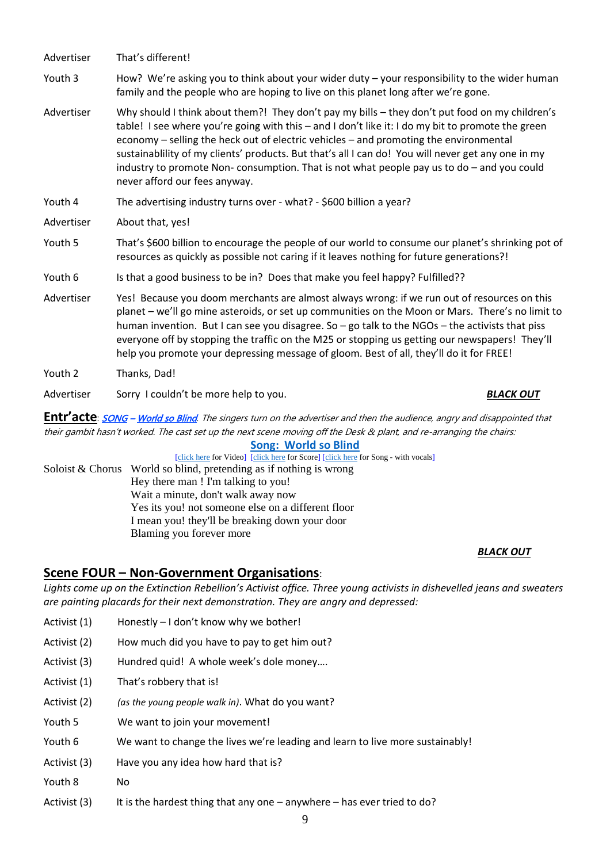| Advertiser | That's different!                                                                                                                                                                                                                                                                                                                                                                                                                                                                                                                |                  |  |
|------------|----------------------------------------------------------------------------------------------------------------------------------------------------------------------------------------------------------------------------------------------------------------------------------------------------------------------------------------------------------------------------------------------------------------------------------------------------------------------------------------------------------------------------------|------------------|--|
| Youth 3    | How? We're asking you to think about your wider duty - your responsibility to the wider human<br>family and the people who are hoping to live on this planet long after we're gone.                                                                                                                                                                                                                                                                                                                                              |                  |  |
| Advertiser | Why should I think about them?! They don't pay my bills - they don't put food on my children's<br>table! I see where you're going with this - and I don't like it: I do my bit to promote the green<br>economy - selling the heck out of electric vehicles - and promoting the environmental<br>sustainablility of my clients' products. But that's all I can do! You will never get any one in my<br>industry to promote Non-consumption. That is not what people pay us to do - and you could<br>never afford our fees anyway. |                  |  |
| Youth 4    | The advertising industry turns over - what? - \$600 billion a year?                                                                                                                                                                                                                                                                                                                                                                                                                                                              |                  |  |
| Advertiser | About that, yes!                                                                                                                                                                                                                                                                                                                                                                                                                                                                                                                 |                  |  |
| Youth 5    | That's \$600 billion to encourage the people of our world to consume our planet's shrinking pot of<br>resources as quickly as possible not caring if it leaves nothing for future generations?!                                                                                                                                                                                                                                                                                                                                  |                  |  |
| Youth 6    | Is that a good business to be in? Does that make you feel happy? Fulfilled??                                                                                                                                                                                                                                                                                                                                                                                                                                                     |                  |  |
| Advertiser | Yes! Because you doom merchants are almost always wrong: if we run out of resources on this<br>planet - we'll go mine asteroids, or set up communities on the Moon or Mars. There's no limit to<br>human invention. But I can see you disagree. So $-$ go talk to the NGOs $-$ the activists that piss<br>everyone off by stopping the traffic on the M25 or stopping us getting our newspapers! They'll<br>help you promote your depressing message of gloom. Best of all, they'll do it for FREE!                              |                  |  |
| Youth 2    | Thanks, Dad!                                                                                                                                                                                                                                                                                                                                                                                                                                                                                                                     |                  |  |
| Advertiser | Sorry I couldn't be more help to you.                                                                                                                                                                                                                                                                                                                                                                                                                                                                                            | <b>BLACK OUT</b> |  |

**Entr'acte**: **SONG** – World so Blind. The singers turn on the advertiser and then the audience, angry and disappointed that their gambit hasn't worked. The cast set up the next scene moving off the Desk & plant, and re-arranging the chairs:

**[Song: World so Blind](https://www.youtube.com/watch?v=mKzakGp4kmw)**

[\[click here](http://www.peacechildthemusical.com/wp-content/uploads/2018/10/World-So-Blind.mp3) for Video] [click here for Score] [click here for Song - with vocals] Soloist & Chorus World so blind, pretending as if nothing is wrong Hey there man ! I'm talking to you! Wait a minute, don't walk away now Yes its you! not someone else on a different floor I mean you! they'll be breaking down your door Blaming you forever more

### *BLACK OUT*

# **Scene FOUR – Non-Government Organisations**:

*Lights come up on the Extinction Rebellion's Activist office. Three young activists in dishevelled jeans and sweaters are painting placards for their next demonstration. They are angry and depressed:*

- Activist (1) Honestly I don't know why we bother!
- Activist (2) How much did you have to pay to get him out?
- Activist (3) Hundred quid! A whole week's dole money....
- Activist (1) That's robbery that is!
- Activist (2) *(as the young people walk in)*. What do you want?
- Youth 5 We want to join your movement!
- Youth 6 We want to change the lives we're leading and learn to live more sustainably!
- Activist (3) Have you any idea how hard that is?
- Youth 8 No
- Activist  $(3)$  It is the hardest thing that any one anywhere has ever tried to do?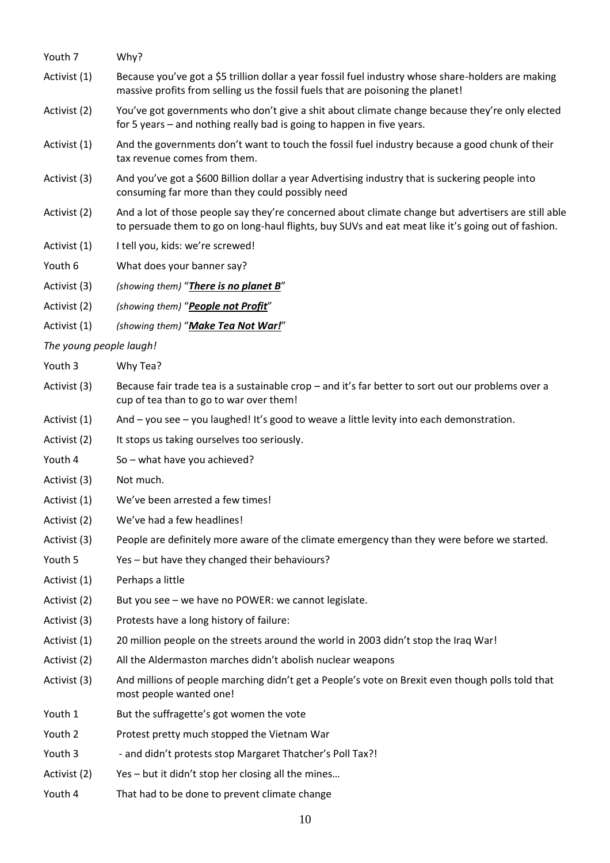| Youth 7                 | Why?                                                                                                                                                                                                      |
|-------------------------|-----------------------------------------------------------------------------------------------------------------------------------------------------------------------------------------------------------|
| Activist (1)            | Because you've got a \$5 trillion dollar a year fossil fuel industry whose share-holders are making<br>massive profits from selling us the fossil fuels that are poisoning the planet!                    |
| Activist (2)            | You've got governments who don't give a shit about climate change because they're only elected<br>for 5 years – and nothing really bad is going to happen in five years.                                  |
| Activist (1)            | And the governments don't want to touch the fossil fuel industry because a good chunk of their<br>tax revenue comes from them.                                                                            |
| Activist (3)            | And you've got a \$600 Billion dollar a year Advertising industry that is suckering people into<br>consuming far more than they could possibly need                                                       |
| Activist (2)            | And a lot of those people say they're concerned about climate change but advertisers are still able<br>to persuade them to go on long-haul flights, buy SUVs and eat meat like it's going out of fashion. |
| Activist (1)            | I tell you, kids: we're screwed!                                                                                                                                                                          |
| Youth 6                 | What does your banner say?                                                                                                                                                                                |
| Activist (3)            | (showing them) "There is no planet B"                                                                                                                                                                     |
| Activist (2)            | (showing them) "People not Profit"                                                                                                                                                                        |
| Activist (1)            | (showing them) "Make Tea Not War!"                                                                                                                                                                        |
| The young people laugh! |                                                                                                                                                                                                           |
| Youth 3                 | Why Tea?                                                                                                                                                                                                  |
| Activist (3)            | Because fair trade tea is a sustainable crop - and it's far better to sort out our problems over a<br>cup of tea than to go to war over them!                                                             |
| Activist (1)            | And – you see – you laughed! It's good to weave a little levity into each demonstration.                                                                                                                  |
| Activist (2)            | It stops us taking ourselves too seriously.                                                                                                                                                               |
| Youth 4                 | So - what have you achieved?                                                                                                                                                                              |
| Activist (3)            | Not much.                                                                                                                                                                                                 |
| Activist (1)            | We've been arrested a few times!                                                                                                                                                                          |
| Activist (2)            | We've had a few headlines!                                                                                                                                                                                |
| Activist (3)            | People are definitely more aware of the climate emergency than they were before we started.                                                                                                               |
| Youth 5                 | Yes - but have they changed their behaviours?                                                                                                                                                             |
| Activist (1)            | Perhaps a little                                                                                                                                                                                          |
| Activist (2)            | But you see - we have no POWER: we cannot legislate.                                                                                                                                                      |
| Activist (3)            | Protests have a long history of failure:                                                                                                                                                                  |
| Activist (1)            | 20 million people on the streets around the world in 2003 didn't stop the Iraq War!                                                                                                                       |
| Activist (2)            | All the Aldermaston marches didn't abolish nuclear weapons                                                                                                                                                |
| Activist (3)            | And millions of people marching didn't get a People's vote on Brexit even though polls told that<br>most people wanted one!                                                                               |
| Youth 1                 | But the suffragette's got women the vote                                                                                                                                                                  |
| Youth 2                 | Protest pretty much stopped the Vietnam War                                                                                                                                                               |
| Youth 3                 | - and didn't protests stop Margaret Thatcher's Poll Tax?!                                                                                                                                                 |
| Activist (2)            | Yes - but it didn't stop her closing all the mines                                                                                                                                                        |
| Youth 4                 | That had to be done to prevent climate change                                                                                                                                                             |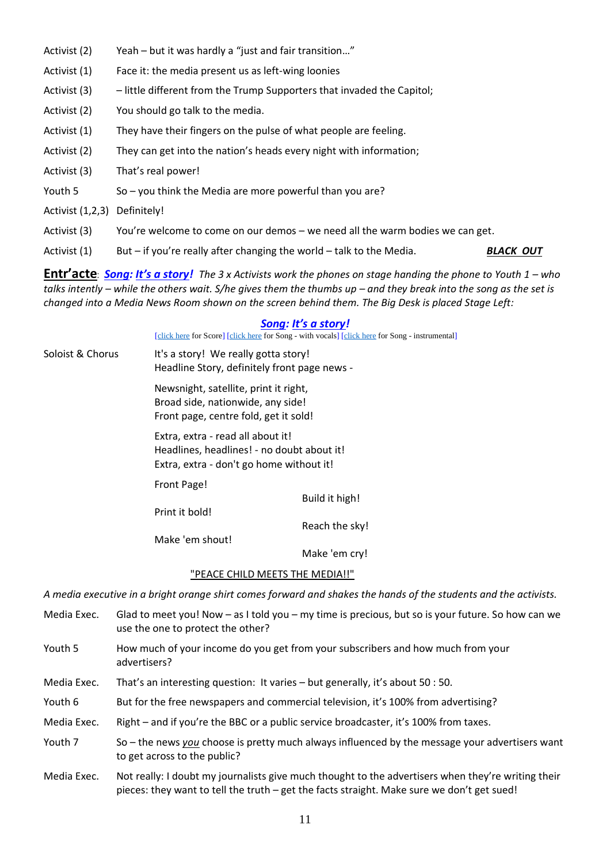- Activist (2) Yeah but it was hardly a "just and fair transition..."
- Activist (1) Face it: the media present us as left-wing loonies
- Activist (3) little different from the Trump Supporters that invaded the Capitol;
- Activist (2) You should go talk to the media.
- Activist (1) They have their fingers on the pulse of what people are feeling.
- Activist (2) They can get into the nation's heads every night with information;
- Activist (3) That's real power!
- Youth 5 So you think the Media are more powerful than you are?
- Activist (1,2,3) Definitely!
- Activist (3) You're welcome to come on our demos we need all the warm bodies we can get.
- Activist (1) But if you're really after changing the world talk to the Media. *BLACK OUT*

**Entr'acte:** *Song: It's a story!* The 3 x Activists work the phones on stage handing the phone to Youth 1 – who *talks intently – while the others wait. S/he gives them the thumbs up – and they break into the song as the set is changed into a Media News Room shown on the screen behind them. The Big Desk is placed Stage Left:*

#### *Song: It's a story!*

[\[click here](http://www.peacechildthemusical.com/wp-content/uploads/2018/11/8.-I-gotta-Story-Instrumental.m4a) for Score] [click here for Song - with vocals] [click here for Song - instrumental]

Soloist & Chorus It's a story! We really gotta story! Headline Story, definitely front page news -

> Newsnight, satellite, print it right, Broad side, nationwide, any side! Front page, centre fold, get it sold!

Extra, extra - read all about it! Headlines, headlines! - no doubt about it! Extra, extra - don't go home without it!

Front Page!

Print it bold!

Reach the sky!

Make 'em shout!

Make 'em cry!

Build it high!

#### "PEACE CHILD MEETS THE MEDIA!!"

*A media executive in a bright orange shirt comes forward and shakes the hands of the students and the activists.*

- Media Exec. Glad to meet you! Now as I told you my time is precious, but so is your future. So how can we use the one to protect the other? Youth 5 How much of your income do you get from your subscribers and how much from your advertisers?
- Media Exec. That's an interesting question: It varies but generally, it's about 50 : 50.
- Youth 6 But for the free newspapers and commercial television, it's 100% from advertising?
- Media Exec. Right and if you're the BBC or a public service broadcaster, it's 100% from taxes.
- Youth 7 So the news *you* choose is pretty much always influenced by the message your advertisers want to get across to the public?
- Media Exec. Not really: I doubt my journalists give much thought to the advertisers when they're writing their pieces: they want to tell the truth – get the facts straight. Make sure we don't get sued!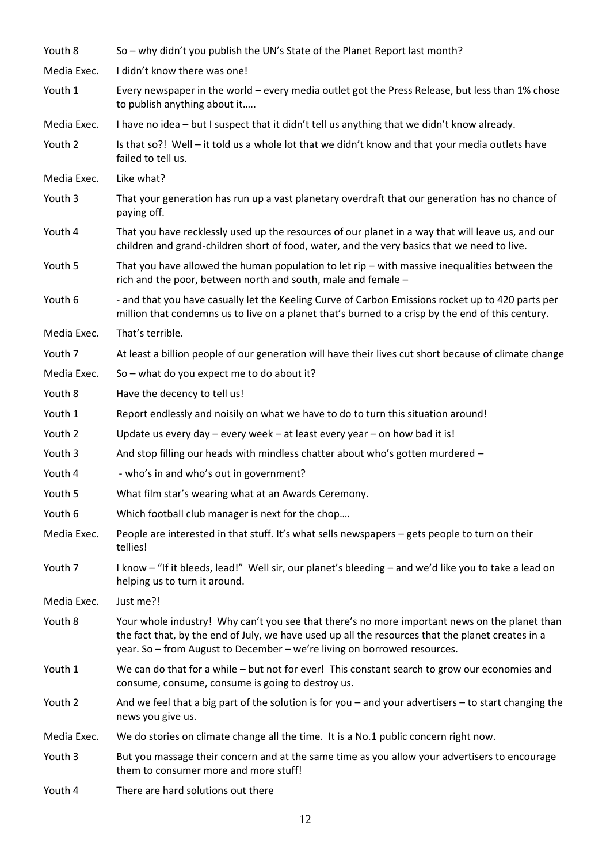| Youth 8     | So - why didn't you publish the UN's State of the Planet Report last month?                                                                                                                                                                                                    |
|-------------|--------------------------------------------------------------------------------------------------------------------------------------------------------------------------------------------------------------------------------------------------------------------------------|
| Media Exec. | I didn't know there was one!                                                                                                                                                                                                                                                   |
| Youth 1     | Every newspaper in the world - every media outlet got the Press Release, but less than 1% chose<br>to publish anything about it                                                                                                                                                |
| Media Exec. | I have no idea - but I suspect that it didn't tell us anything that we didn't know already.                                                                                                                                                                                    |
| Youth 2     | Is that so?! Well - it told us a whole lot that we didn't know and that your media outlets have<br>failed to tell us.                                                                                                                                                          |
| Media Exec. | Like what?                                                                                                                                                                                                                                                                     |
| Youth 3     | That your generation has run up a vast planetary overdraft that our generation has no chance of<br>paying off.                                                                                                                                                                 |
| Youth 4     | That you have recklessly used up the resources of our planet in a way that will leave us, and our<br>children and grand-children short of food, water, and the very basics that we need to live.                                                                               |
| Youth 5     | That you have allowed the human population to let rip $-$ with massive inequalities between the<br>rich and the poor, between north and south, male and female -                                                                                                               |
| Youth 6     | - and that you have casually let the Keeling Curve of Carbon Emissions rocket up to 420 parts per<br>million that condemns us to live on a planet that's burned to a crisp by the end of this century.                                                                         |
| Media Exec. | That's terrible.                                                                                                                                                                                                                                                               |
| Youth 7     | At least a billion people of our generation will have their lives cut short because of climate change                                                                                                                                                                          |
| Media Exec. | So - what do you expect me to do about it?                                                                                                                                                                                                                                     |
| Youth 8     | Have the decency to tell us!                                                                                                                                                                                                                                                   |
| Youth 1     | Report endlessly and noisily on what we have to do to turn this situation around!                                                                                                                                                                                              |
| Youth 2     | Update us every day $-$ every week $-$ at least every year $-$ on how bad it is!                                                                                                                                                                                               |
| Youth 3     | And stop filling our heads with mindless chatter about who's gotten murdered -                                                                                                                                                                                                 |
| Youth 4     | - who's in and who's out in government?                                                                                                                                                                                                                                        |
| Youth 5     | What film star's wearing what at an Awards Ceremony.                                                                                                                                                                                                                           |
| Youth 6     | Which football club manager is next for the chop                                                                                                                                                                                                                               |
| Media Exec. | People are interested in that stuff. It's what sells newspapers - gets people to turn on their<br>tellies!                                                                                                                                                                     |
| Youth 7     | I know - "If it bleeds, lead!" Well sir, our planet's bleeding - and we'd like you to take a lead on<br>helping us to turn it around.                                                                                                                                          |
| Media Exec. | Just me?!                                                                                                                                                                                                                                                                      |
| Youth 8     | Your whole industry! Why can't you see that there's no more important news on the planet than<br>the fact that, by the end of July, we have used up all the resources that the planet creates in a<br>year. So - from August to December - we're living on borrowed resources. |
| Youth 1     | We can do that for a while – but not for ever! This constant search to grow our economies and<br>consume, consume, consume is going to destroy us.                                                                                                                             |
| Youth 2     | And we feel that a big part of the solution is for you $-$ and your advertisers $-$ to start changing the<br>news you give us.                                                                                                                                                 |
| Media Exec. | We do stories on climate change all the time. It is a No.1 public concern right now.                                                                                                                                                                                           |
| Youth 3     | But you massage their concern and at the same time as you allow your advertisers to encourage<br>them to consumer more and more stuff!                                                                                                                                         |
| Youth 4     | There are hard solutions out there                                                                                                                                                                                                                                             |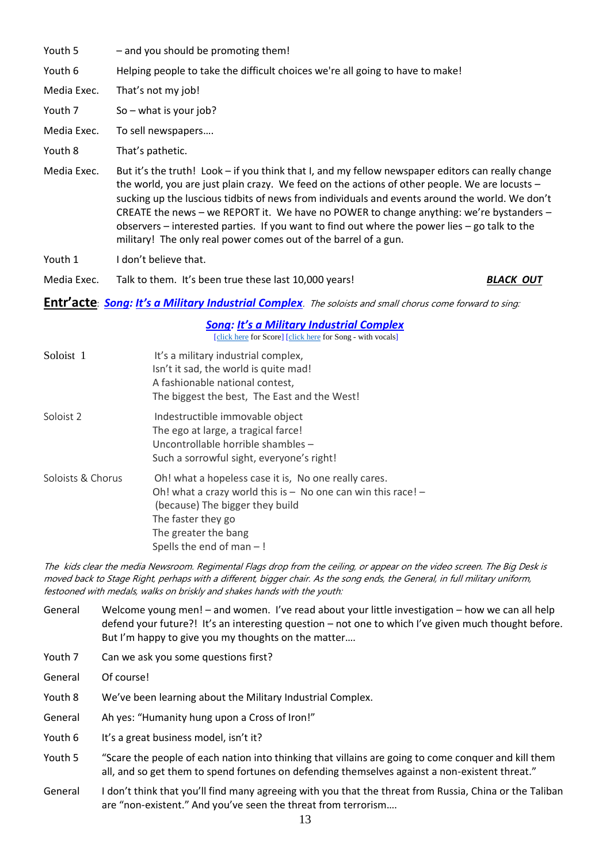- Youth 5 and you should be promoting them!
- Youth 6 Helping people to take the difficult choices we're all going to have to make!
- Media Exec. That's not my job!
- Youth 7 So what is your job?
- Media Exec. To sell newspapers….
- Youth 8 That's pathetic.
- Media Exec. But it's the truth! Look if you think that I, and my fellow newspaper editors can really change the world, you are just plain crazy. We feed on the actions of other people. We are locusts – sucking up the luscious tidbits of news from individuals and events around the world. We don't CREATE the news – we REPORT it. We have no POWER to change anything: we're bystanders – observers – interested parties. If you want to find out where the power lies – go talk to the military! The only real power comes out of the barrel of a gun.
- Youth 1 I don't believe that.
- Media Exec. Talk to them. It's been true these last 10,000 years! *BLACK OUT*

#### **Entr'acte**: *Song: It's a Military Industrial Complex*. The soloists and small chorus come forward to sing:

#### *Song: It's a Military Industrial Complex*

[\[click here](http://www.peacechildthemusical.com/wp-content/uploads/2018/11/18.-Military-Industrial-Complex-original.m4a) for Score] [click here for Song - with vocals]

| Soloist 1         | It's a military industrial complex,<br>Isn't it sad, the world is quite mad!<br>A fashionable national contest,<br>The biggest the best, The East and the West!                                                                         |
|-------------------|-----------------------------------------------------------------------------------------------------------------------------------------------------------------------------------------------------------------------------------------|
| Soloist 2         | Indestructible immovable object<br>The ego at large, a tragical farce!<br>Uncontrollable horrible shambles -<br>Such a sorrowful sight, everyone's right!                                                                               |
| Soloists & Chorus | Oh! what a hopeless case it is, No one really cares.<br>Oh! what a crazy world this is $-$ No one can win this race! $-$<br>(because) The bigger they build<br>The faster they go<br>The greater the bang<br>Spells the end of man $-!$ |

The kids clear the media Newsroom. Regimental Flags drop from the ceiling, or appear on the video screen. The Big Desk is moved back to Stage Right, perhaps with a different, bigger chair. As the song ends, the General, in full military uniform, festooned with medals, walks on briskly and shakes hands with the youth:

- General Welcome young men! and women. I've read about your little investigation how we can all help defend your future?! It's an interesting question – not one to which I've given much thought before. But I'm happy to give you my thoughts on the matter….
- Youth 7 Can we ask you some questions first?
- General Of course!
- Youth 8 We've been learning about the Military Industrial Complex.
- General Ah yes: "Humanity hung upon a Cross of Iron!"
- Youth 6 It's a great business model, isn't it?
- Youth 5 "Scare the people of each nation into thinking that villains are going to come conquer and kill them all, and so get them to spend fortunes on defending themselves against a non-existent threat."
- General I don't think that you'll find many agreeing with you that the threat from Russia, China or the Taliban are "non-existent." And you've seen the threat from terrorism….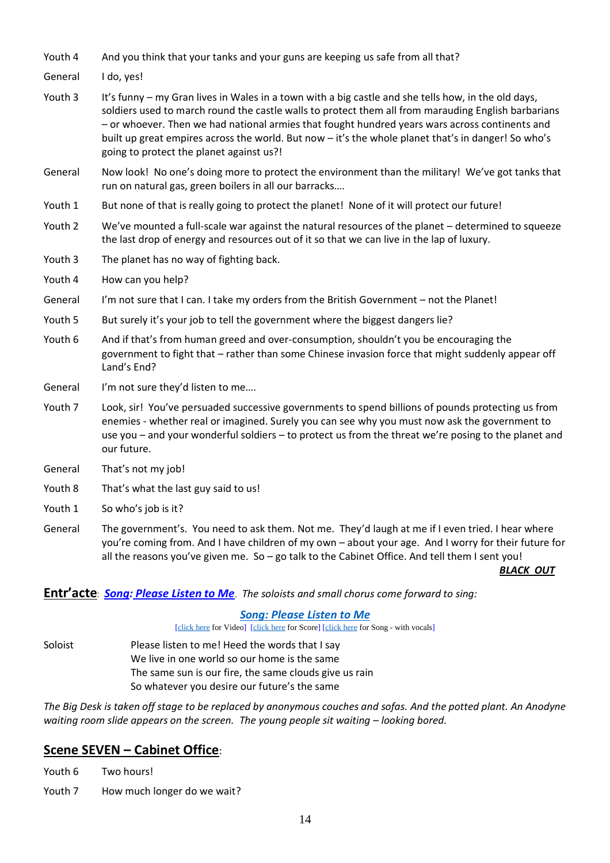- Youth 4 And you think that your tanks and your guns are keeping us safe from all that?
- General I do, yes!
- Youth 3 It's funny my Gran lives in Wales in a town with a big castle and she tells how, in the old days, soldiers used to march round the castle walls to protect them all from marauding English barbarians – or whoever. Then we had national armies that fought hundred years wars across continents and built up great empires across the world. But now – it's the whole planet that's in danger! So who's going to protect the planet against us?!
- General Now look! No one's doing more to protect the environment than the military! We've got tanks that run on natural gas, green boilers in all our barracks….
- Youth 1 But none of that is really going to protect the planet! None of it will protect our future!
- Youth 2 We've mounted a full-scale war against the natural resources of the planet determined to squeeze the last drop of energy and resources out of it so that we can live in the lap of luxury.
- Youth 3 The planet has no way of fighting back.
- Youth 4 How can you help?
- General I'm not sure that I can. I take my orders from the British Government not the Planet!
- Youth 5 But surely it's your job to tell the government where the biggest dangers lie?
- Youth 6 And if that's from human greed and over-consumption, shouldn't you be encouraging the government to fight that – rather than some Chinese invasion force that might suddenly appear off Land's End?
- General I'm not sure they'd listen to me....
- Youth 7 Look, sir! You've persuaded successive governments to spend billions of pounds protecting us from enemies - whether real or imagined. Surely you can see why you must now ask the government to use you – and your wonderful soldiers – to protect us from the threat we're posing to the planet and our future.
- General That's not my job!
- Youth 8 That's what the last guy said to us!
- Youth 1 So who's job is it?
- General The government's. You need to ask them. Not me. They'd laugh at me if I even tried. I hear where you're coming from. And I have children of my own – about your age. And I worry for their future for all the reasons you've given me. So – go talk to the Cabinet Office. And tell them I sent you!

*BLACK OUT*

#### **Entr'acte**: *Song: Please Listen to Me*. *The soloists and small chorus come forward to sing:*

#### *[Song: Please Listen to Me](https://www.youtube.com/watch?v=1x1-O0feP1k)*

[\[click here](http://www.peacechildthemusical.com/wp-content/uploads/2019/11/9-Listen-to-Me.mp3) for Video] [click here for Score] [click here for Song - with vocals]

Soloist Please listen to me! Heed the words that I say We live in one world so our home is the same The same sun is our fire, the same clouds give us rain So whatever you desire our future's the same

*The Big Desk is taken off stage to be replaced by anonymous couches and sofas. And the potted plant. An Anodyne waiting room slide appears on the screen. The young people sit waiting – looking bored.* 

# **Scene SEVEN – Cabinet Office**:

Youth 6 Two hours!

Youth 7 How much longer do we wait?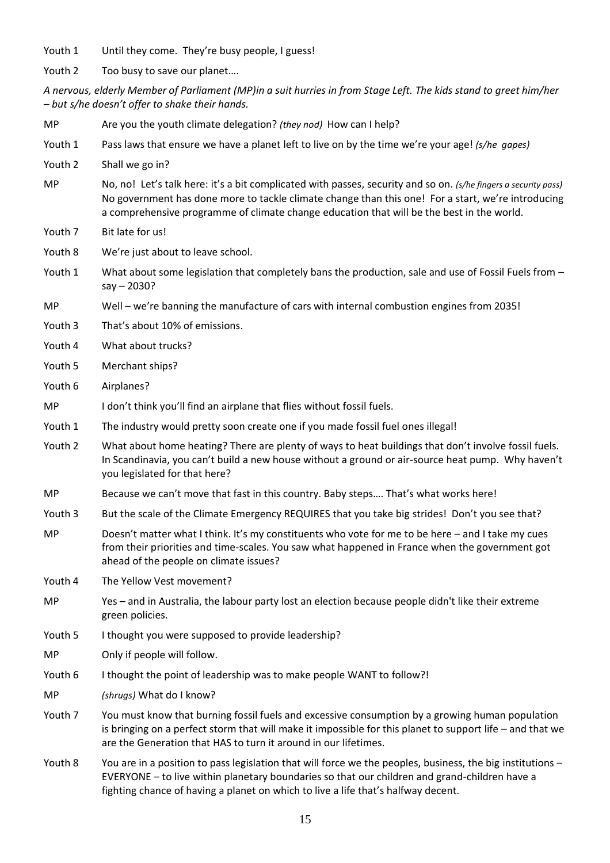Youth 1 Until they come. They're busy people, I guess!

Youth 2 Too busy to save our planet....

| Youth 2   | Too busy to save our planet                                                                                                                                                                                                                                                                                        |
|-----------|--------------------------------------------------------------------------------------------------------------------------------------------------------------------------------------------------------------------------------------------------------------------------------------------------------------------|
|           | A nervous, elderly Member of Parliament (MP)in a suit hurries in from Stage Left. The kids stand to greet him/her<br>- but s/he doesn't offer to shake their hands.                                                                                                                                                |
| MP        | Are you the youth climate delegation? (they nod) How can I help?                                                                                                                                                                                                                                                   |
| Youth 1   | Pass laws that ensure we have a planet left to live on by the time we're your age! (s/he gapes)                                                                                                                                                                                                                    |
| Youth 2   | Shall we go in?                                                                                                                                                                                                                                                                                                    |
| <b>MP</b> | No, no! Let's talk here: it's a bit complicated with passes, security and so on. (s/he fingers a security pass)<br>No government has done more to tackle climate change than this one! For a start, we're introducing<br>a comprehensive programme of climate change education that will be the best in the world. |
| Youth 7   | Bit late for us!                                                                                                                                                                                                                                                                                                   |
| Youth 8   | We're just about to leave school.                                                                                                                                                                                                                                                                                  |
| Youth 1   | What about some legislation that completely bans the production, sale and use of Fossil Fuels from -<br>$say - 2030?$                                                                                                                                                                                              |
| MP        | Well - we're banning the manufacture of cars with internal combustion engines from 2035!                                                                                                                                                                                                                           |
| Youth 3   | That's about 10% of emissions.                                                                                                                                                                                                                                                                                     |
| Youth 4   | What about trucks?                                                                                                                                                                                                                                                                                                 |
| Youth 5   | Merchant ships?                                                                                                                                                                                                                                                                                                    |
| Youth 6   | Airplanes?                                                                                                                                                                                                                                                                                                         |
| MP        | I don't think you'll find an airplane that flies without fossil fuels.                                                                                                                                                                                                                                             |
| Youth 1   | The industry would pretty soon create one if you made fossil fuel ones illegal!                                                                                                                                                                                                                                    |
| Youth 2   | What about home heating? There are plenty of ways to heat buildings that don't involve fossil fuels.<br>In Scandinavia, you can't build a new house without a ground or air-source heat pump. Why haven't<br>you legislated for that here?                                                                         |
| MP        | Because we can't move that fast in this country. Baby steps That's what works here!                                                                                                                                                                                                                                |
| Youth 3   | But the scale of the Climate Emergency REQUIRES that you take big strides! Don't you see that?                                                                                                                                                                                                                     |
| MP        | Doesn't matter what I think. It's my constituents who vote for me to be here - and I take my cues<br>from their priorities and time-scales. You saw what happened in France when the government got<br>ahead of the people on climate issues?                                                                      |
| Youth 4   | The Yellow Vest movement?                                                                                                                                                                                                                                                                                          |
| MP        | Yes - and in Australia, the labour party lost an election because people didn't like their extreme<br>green policies.                                                                                                                                                                                              |
| Youth 5   | I thought you were supposed to provide leadership?                                                                                                                                                                                                                                                                 |
| MP        | Only if people will follow.                                                                                                                                                                                                                                                                                        |
| Youth 6   | I thought the point of leadership was to make people WANT to follow?!                                                                                                                                                                                                                                              |
| MP        | (shrugs) What do I know?                                                                                                                                                                                                                                                                                           |
| Youth 7   | You must know that burning fossil fuels and excessive consumption by a growing human population<br>is bringing on a perfect storm that will make it impossible for this planet to support life - and that we<br>are the Generation that HAS to turn it around in our lifetimes.                                    |
| Youth 8   | You are in a position to pass legislation that will force we the peoples, business, the big institutions -                                                                                                                                                                                                         |

fighting chance of having a planet on which to live a life that's halfway decent.

EVERYONE – to live within planetary boundaries so that our children and grand-children have a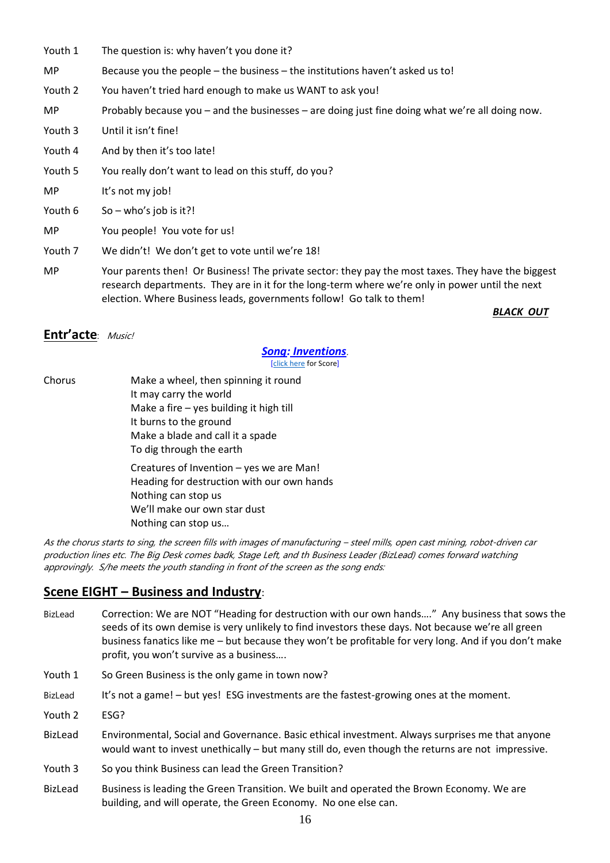- Youth 1 The question is: why haven't you done it?
- MP Because you the people the business the institutions haven't asked us to!
- Youth 2 You haven't tried hard enough to make us WANT to ask you!

MP Probably because you – and the businesses – are doing just fine doing what we're all doing now.

- Youth 3 Until it isn't fine!
- Youth 4 And by then it's too late!
- Youth 5 You really don't want to lead on this stuff, do you?
- MP It's not my job!
- Youth  $6$  So who's job is it?!
- MP You people! You vote for us!
- Youth 7 We didn't! We don't get to vote until we're 18!
- MP Your parents then! Or Business! The private sector: they pay the most taxes. They have the biggest research departments. They are in it for the long-term where we're only in power until the next election. Where Business leads, governments follow! Go talk to them!

*BLACK OUT*

#### **Entr'acte**: Music!

# *Song: Inventions*.

[\[click here](http://www.peacechildthemusical.com/wp-content/uploads/2018/11/InventionsPiano.pdf) for Score]

Chorus Make a wheel, then spinning it round

It may carry the world Make a fire – yes building it high till It burns to the ground Make a blade and call it a spade To dig through the earth Creatures of Invention – yes we are Man!

Heading for destruction with our own hands Nothing can stop us We'll make our own star dust Nothing can stop us…

As the chorus starts to sing, the screen fills with images of manufacturing – steel mills, open cast mining, robot-driven car production lines etc. The Big Desk comes badk, Stage Left, and th Business Leader (BizLead) comes forward watching approvingly. S/he meets the youth standing in front of the screen as the song ends:

### **Scene EIGHT – Business and Industry**:

- BizLead Correction: We are NOT "Heading for destruction with our own hands…." Any business that sows the seeds of its own demise is very unlikely to find investors these days. Not because we're all green business fanatics like me – but because they won't be profitable for very long. And if you don't make profit, you won't survive as a business….
- Youth 1 So Green Business is the only game in town now?
- BizLead It's not a game! but yes! ESG investments are the fastest-growing ones at the moment.
- Youth 2 **ESG?**
- BizLead Environmental, Social and Governance. Basic ethical investment. Always surprises me that anyone would want to invest unethically – but many still do, even though the returns are not impressive.
- Youth 3 So you think Business can lead the Green Transition?
- BizLead Business is leading the Green Transition. We built and operated the Brown Economy. We are building, and will operate, the Green Economy. No one else can.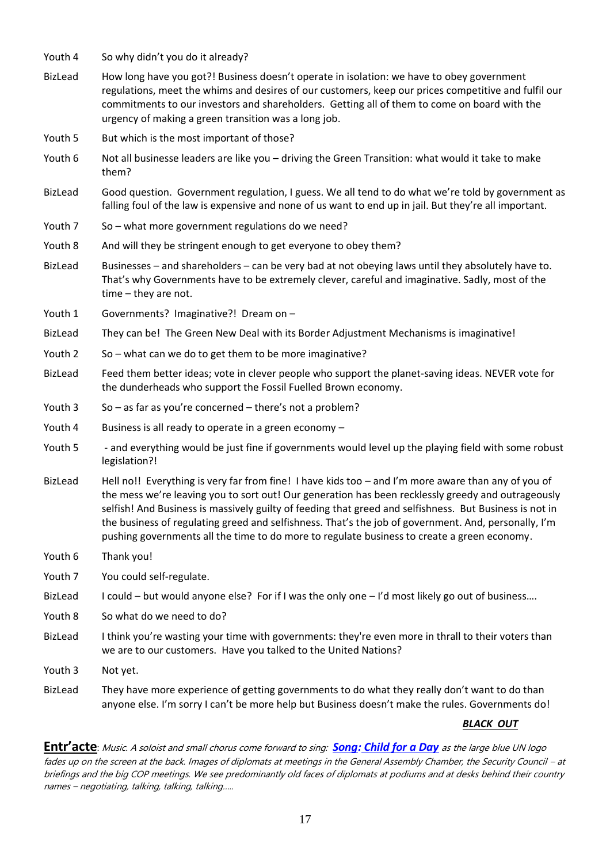- Youth 4 So why didn't you do it already?
- BizLead How long have you got?! Business doesn't operate in isolation: we have to obey government regulations, meet the whims and desires of our customers, keep our prices competitive and fulfil our commitments to our investors and shareholders. Getting all of them to come on board with the urgency of making a green transition was a long job.
- Youth 5 But which is the most important of those?
- Youth 6 Not all businesse leaders are like you driving the Green Transition: what would it take to make them?
- BizLead Good question. Government regulation, I guess. We all tend to do what we're told by government as falling foul of the law is expensive and none of us want to end up in jail. But they're all important.
- Youth 7 So what more government regulations do we need?
- Youth 8 And will they be stringent enough to get everyone to obey them?
- BizLead Businesses and shareholders can be very bad at not obeying laws until they absolutely have to. That's why Governments have to be extremely clever, careful and imaginative. Sadly, most of the time – they are not.
- Youth 1 Governments? Imaginative?! Dream on –
- BizLead They can be! The Green New Deal with its Border Adjustment Mechanisms is imaginative!
- Youth 2 So what can we do to get them to be more imaginative?
- BizLead Feed them better ideas; vote in clever people who support the planet-saving ideas. NEVER vote for the dunderheads who support the Fossil Fuelled Brown economy.
- Youth 3 So as far as you're concerned there's not a problem?
- Youth 4 Business is all ready to operate in a green economy –
- Youth 5 and everything would be just fine if governments would level up the playing field with some robust legislation?!
- BizLead Hell no!! Everything is very far from fine! I have kids too and I'm more aware than any of you of the mess we're leaving you to sort out! Our generation has been recklessly greedy and outrageously selfish! And Business is massively guilty of feeding that greed and selfishness. But Business is not in the business of regulating greed and selfishness. That's the job of government. And, personally, I'm pushing governments all the time to do more to regulate business to create a green economy.
- Youth 6 Thank you!
- Youth 7 You could self-regulate.
- BizLead I could but would anyone else? For if I was the only one I'd most likely go out of business....
- Youth 8 So what do we need to do?
- BizLead I think you're wasting your time with governments: they're even more in thrall to their voters than we are to our customers. Have you talked to the United Nations?
- Youth 3 Not yet.
- BizLead They have more experience of getting governments to do what they really don't want to do than anyone else. I'm sorry I can't be more help but Business doesn't make the rules. Governments do!

### *BLACK OUT*

**Entr'acte**: Music. A soloist and small chorus come forward to sing: *Song: Child for a Day* as the large blue UN logo fades up on the screen at the back. Images of diplomats at meetings in the General Assembly Chamber, the Security Council – at briefings and the big COP meetings. We see predominantly old faces of diplomats at podiums and at desks behind their country names – negotiating, talking, talking, talking…..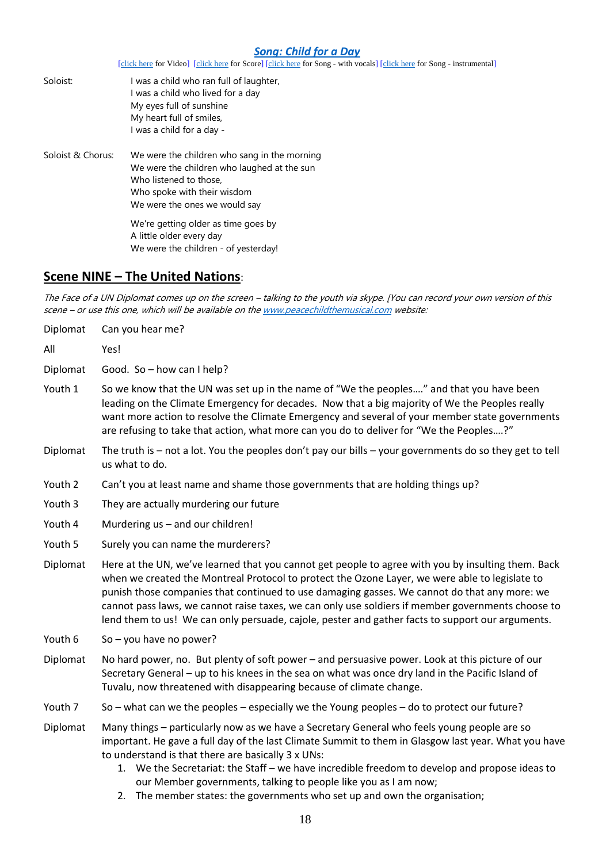### *[Song: Child for a Day](https://www.youtube.com/watch?v=lS0N0Rm7J6g)*

[\[click here](http://www.peacechildthemusical.com/wp-content/uploads/2018/10/20.-Child-for-a-dayBacking-Track-short.m4a) for Video] [\[click here](http://www.peacechildthemusical.com/wp-content/uploads/2018/10/Child-For-A-Day-Long.mp3) for Score] [click here for Song - with vocals] [click here for Song - instrumental]

| Soloist:          | I was a child who ran full of laughter,<br>I was a child who lived for a day<br>My eyes full of sunshine<br>My heart full of smiles,<br>I was a child for a day -                     |
|-------------------|---------------------------------------------------------------------------------------------------------------------------------------------------------------------------------------|
| Soloist & Chorus: | We were the children who sang in the morning<br>We were the children who laughed at the sun<br>Who listened to those.<br>Who spoke with their wisdom<br>We were the ones we would say |
|                   | We're getting older as time goes by<br>A little older every day<br>We were the children - of yesterday!                                                                               |

# **Scene NINE – The United Nations**:

The Face of a UN Diplomat comes up on the screen – talking to the youth via skype. [You can record your own version of this scene – or use this one, which will be available on th[e www.peacechildthemusical.com](http://www.peacechildthemusical.com/) website:

| Diplomat | Can you hear me?                                                                                                                                                                                                                                                                                                                                                                                                                                                                                              |  |
|----------|---------------------------------------------------------------------------------------------------------------------------------------------------------------------------------------------------------------------------------------------------------------------------------------------------------------------------------------------------------------------------------------------------------------------------------------------------------------------------------------------------------------|--|
| All      | Yes!                                                                                                                                                                                                                                                                                                                                                                                                                                                                                                          |  |
| Diplomat | Good. So - how can I help?                                                                                                                                                                                                                                                                                                                                                                                                                                                                                    |  |
| Youth 1  | So we know that the UN was set up in the name of "We the peoples" and that you have been<br>leading on the Climate Emergency for decades. Now that a big majority of We the Peoples really<br>want more action to resolve the Climate Emergency and several of your member state governments<br>are refusing to take that action, what more can you do to deliver for "We the Peoples?"                                                                                                                       |  |
| Diplomat | The truth is $-$ not a lot. You the peoples don't pay our bills $-$ your governments do so they get to tell<br>us what to do.                                                                                                                                                                                                                                                                                                                                                                                 |  |
| Youth 2  | Can't you at least name and shame those governments that are holding things up?                                                                                                                                                                                                                                                                                                                                                                                                                               |  |
| Youth 3  | They are actually murdering our future                                                                                                                                                                                                                                                                                                                                                                                                                                                                        |  |
| Youth 4  | Murdering us - and our children!                                                                                                                                                                                                                                                                                                                                                                                                                                                                              |  |
| Youth 5  | Surely you can name the murderers?                                                                                                                                                                                                                                                                                                                                                                                                                                                                            |  |
| Diplomat | Here at the UN, we've learned that you cannot get people to agree with you by insulting them. Back<br>when we created the Montreal Protocol to protect the Ozone Layer, we were able to legislate to<br>punish those companies that continued to use damaging gasses. We cannot do that any more: we<br>cannot pass laws, we cannot raise taxes, we can only use soldiers if member governments choose to<br>lend them to us! We can only persuade, cajole, pester and gather facts to support our arguments. |  |
| Youth 6  | So $-$ you have no power?                                                                                                                                                                                                                                                                                                                                                                                                                                                                                     |  |
| Diplomat | No hard power, no. But plenty of soft power - and persuasive power. Look at this picture of our<br>Secretary General - up to his knees in the sea on what was once dry land in the Pacific Island of<br>Tuvalu, now threatened with disappearing because of climate change.                                                                                                                                                                                                                                   |  |
| Youth 7  | So – what can we the peoples – especially we the Young peoples – do to protect our future?                                                                                                                                                                                                                                                                                                                                                                                                                    |  |
| Diplomat | Many things - particularly now as we have a Secretary General who feels young people are so<br>important. He gave a full day of the last Climate Summit to them in Glasgow last year. What you have<br>to understand is that there are basically 3 x UNs:<br>1. We the Secretariat: the Staff – we have incredible freedom to develop and propose ideas to<br>our Member governments, talking to people like you as I am now;<br>2. The member states: the governments who set up and own the organisation;   |  |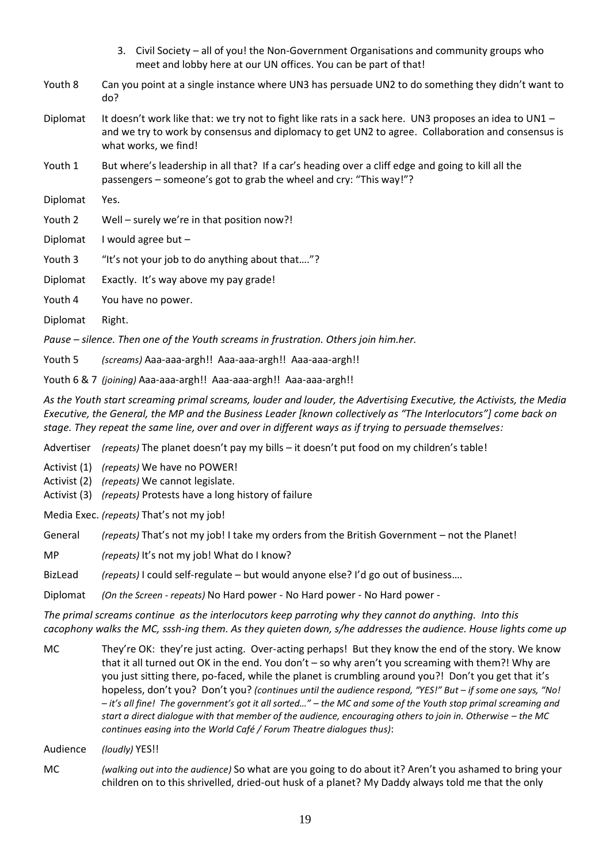- 3. Civil Society all of you! the Non-Government Organisations and community groups who meet and lobby here at our UN offices. You can be part of that!
- Youth 8 Can you point at a single instance where UN3 has persuade UN2 to do something they didn't want to do?
- Diplomat It doesn't work like that: we try not to fight like rats in a sack here. UN3 proposes an idea to UN1 and we try to work by consensus and diplomacy to get UN2 to agree. Collaboration and consensus is what works, we find!
- Youth 1 But where's leadership in all that? If a car's heading over a cliff edge and going to kill all the passengers – someone's got to grab the wheel and cry: "This way!"?
- Diplomat Yes.
- Youth 2 Well surely we're in that position now?!
- Diplomat I would agree but –
- Youth 3 "It's not your job to do anything about that...."?
- Diplomat Exactly. It's way above my pay grade!
- Youth 4 You have no power.
- Diplomat Right.

*Pause – silence. Then one of the Youth screams in frustration. Others join him.her.* 

Youth 5 *(screams)* Aaa-aaa-argh!! Aaa-aaa-argh!! Aaa-aaa-argh!!

Youth 6 & 7 *(joining)* Aaa-aaa-argh!! Aaa-aaa-argh!! Aaa-aaa-argh!!

*As the Youth start screaming primal screams, louder and louder, the Advertising Executive, the Activists, the Media Executive, the General, the MP and the Business Leader [known collectively as "The Interlocutors"] come back on stage. They repeat the same line, over and over in different ways as if trying to persuade themselves:*

Advertiser *(repeats)* The planet doesn't pay my bills – it doesn't put food on my children's table!

Activist (1) *(repeats)* We have no POWER!

Activist (2) *(repeats)* We cannot legislate.

Activist (3) *(repeats)* Protests have a long history of failure

Media Exec. *(repeats)* That's not my job!

General *(repeats)* That's not my job! I take my orders from the British Government – not the Planet!

MP *(repeats)* It's not my job! What do I know?

BizLead *(repeats)* I could self-regulate – but would anyone else? I'd go out of business….

Diplomat *(On the Screen - repeats)* No Hard power - No Hard power - No Hard power -

*The primal screams continue as the interlocutors keep parroting why they cannot do anything. Into this cacophony walks the MC, sssh-ing them. As they quieten down, s/he addresses the audience. House lights come up*

MC They're OK: they're just acting. Over-acting perhaps! But they know the end of the story. We know that it all turned out OK in the end. You don't – so why aren't you screaming with them?! Why are you just sitting there, po-faced, while the planet is crumbling around you?! Don't you get that it's hopeless, don't you? Don't you? *(continues until the audience respond, "YES!" But – if some one says, "No! – it's all fine! The government's got it all sorted…" – the MC and some of the Youth stop primal screaming and start a direct dialogue with that member of the audience, encouraging others to join in. Otherwise – the MC continues easing into the World Café / Forum Theatre dialogues thus)*:

Audience *(loudly)* YES!!

MC *(walking out into the audience)* So what are you going to do about it? Aren't you ashamed to bring your children on to this shrivelled, dried-out husk of a planet? My Daddy always told me that the only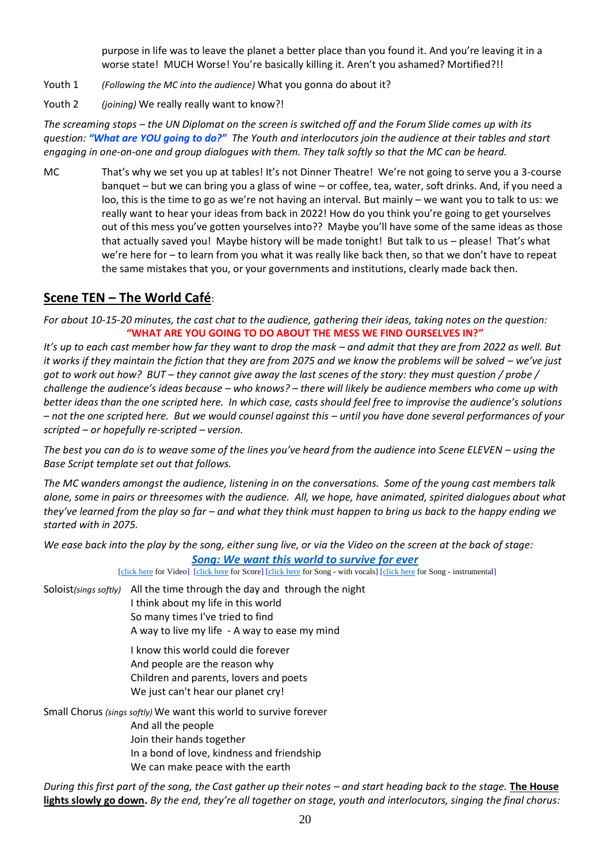purpose in life was to leave the planet a better place than you found it. And you're leaving it in a worse state! MUCH Worse! You're basically killing it. Aren't you ashamed? Mortified?!!

- Youth 1 *(Following the MC into the audience)* What you gonna do about it?
- Youth 2 *(joining)* We really really want to know?!

*The screaming stops – the UN Diplomat on the screen is switched off and the Forum Slide comes up with its question: "What are YOU going to do?" The Youth and interlocutors join the audience at their tables and start engaging in one-on-one and group dialogues with them. They talk softly so that the MC can be heard.*

MC That's why we set you up at tables! It's not Dinner Theatre! We're not going to serve you a 3-course banquet – but we can bring you a glass of wine – or coffee, tea, water, soft drinks. And, if you need a loo, this is the time to go as we're not having an interval. But mainly – we want you to talk to us: we really want to hear your ideas from back in 2022! How do you think you're going to get yourselves out of this mess you've gotten yourselves into?? Maybe you'll have some of the same ideas as those that actually saved you! Maybe history will be made tonight! But talk to us – please! That's what we're here for – to learn from you what it was really like back then, so that we don't have to repeat the same mistakes that you, or your governments and institutions, clearly made back then.

# **Scene TEN – The World Café**:

*For about 10-15-20 minutes, the cast chat to the audience, gathering their ideas, taking notes on the question:* **"WHAT ARE YOU GOING TO DO ABOUT THE MESS WE FIND OURSELVES IN?"**

*It's up to each cast member how far they want to drop the mask – and admit that they are from 2022 as well. But it works if they maintain the fiction that they are from 2075 and we know the problems will be solved – we've just got to work out how? BUT – they cannot give away the last scenes of the story: they must question / probe / challenge the audience's ideas because – who knows? – there will likely be audience members who come up with better ideas than the one scripted here. In which case, casts should feel free to improvise the audience's solutions – not the one scripted here. But we would counsel against this – until you have done several performances of your scripted – or hopefully re-scripted – version.* 

*The best you can do is to weave some of the lines you've heard from the audience into Scene ELEVEN – using the Base Script template set out that follows.* 

*The MC wanders amongst the audience, listening in on the conversations. Some of the young cast members talk alone, some in pairs or threesomes with the audience. All, we hope, have animated, spirited dialogues about what they've learned from the play so far – and what they think must happen to bring us back to the happy ending we started with in 2075.* 

*We ease back into the play by the song, either sung live, or via the Video on the screen at the back of stage: [Song: We want this world to survive for ever](https://drive.google.com/drive/folders/1Ssk-nhulzKZlYySDscVrYNfiJ4xzgDLN)*

[\[click here](http://www.peacechildthemusical.com/wp-content/uploads/2018/10/We-want-world-survive-Instrumental.m4a) for Video] [\[click here](http://www.peacechildthemusical.com/wp-content/uploads/2018/10/We-want-this-world-to-survive-forever.m4a) for Score] [click here for Song - with vocals] [click here for Song - instrumental]

Soloist*(sings softly)* All the time through the day and through the night

I think about my life in this world So many times I've tried to find

A way to live my life - A way to ease my mind

I know this world could die forever And people are the reason why Children and parents, lovers and poets We just can't hear our planet cry!

Small Chorus *(sings softly)* We want this world to survive forever And all the people Join their hands together In a bond of love, kindness and friendship We can make peace with the earth

*During this first part of the song, the Cast gather up their notes – and start heading back to the stage.* **The House lights slowly go down.** *By the end, they're all together on stage, youth and interlocutors, singing the final chorus:*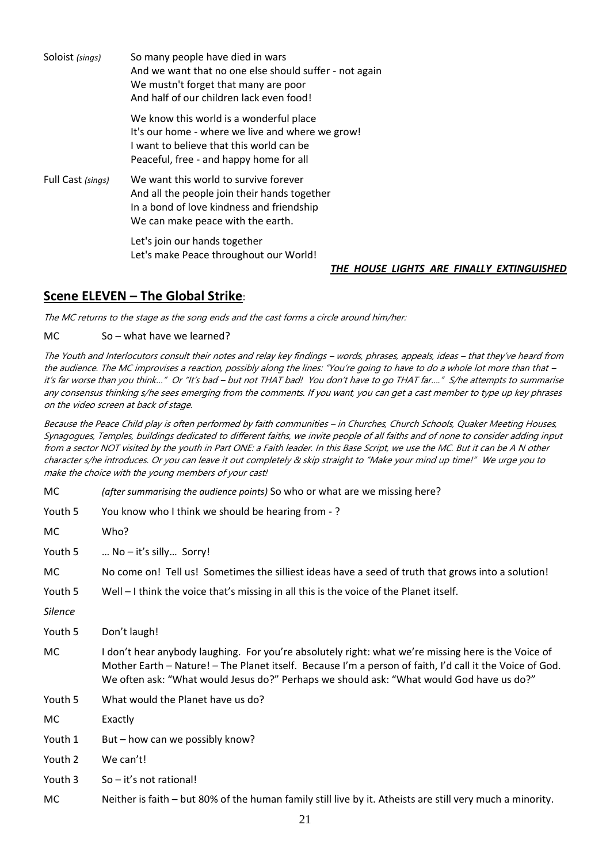| Soloist (sings)   | So many people have died in wars<br>And we want that no one else should suffer - not again<br>We mustn't forget that many are poor<br>And half of our children lack even food!     |
|-------------------|------------------------------------------------------------------------------------------------------------------------------------------------------------------------------------|
|                   | We know this world is a wonderful place<br>It's our home - where we live and where we grow!<br>I want to believe that this world can be<br>Peaceful, free - and happy home for all |
| Full Cast (sings) | We want this world to survive forever<br>And all the people join their hands together<br>In a bond of love kindness and friendship<br>We can make peace with the earth.            |
|                   | Let's join our hands together<br>Let's make Peace throughout our World!                                                                                                            |

#### *THE HOUSE LIGHTS ARE FINALLY EXTINGUISHED*

# **Scene ELEVEN – The Global Strike**:

The MC returns to the stage as the song ends and the cast forms a circle around him/her:

MC So – what have we learned?

The Youth and Interlocutors consult their notes and relay key findings – words, phrases, appeals, ideas – that they've heard from the audience. The MC improvises a reaction, possibly along the lines: "You're going to have to do a whole lot more than that – it's far worse than you think…" Or "It's bad – but not THAT bad! You don't have to go THAT far…." S/he attempts to summarise any consensus thinking s/he sees emerging from the comments. If you want, you can get a cast member to type up key phrases on the video screen at back of stage.

Because the Peace Child play is often performed by faith communities – in Churches, Church Schools, Quaker Meeting Houses, Synagogues, Temples, buildings dedicated to different faiths, we invite people of all faiths and of none to consider adding input from a sector NOT visited by the youth in Part ONE: a Faith leader. In this Base Script, we use the MC. But it can be A N other character s/he introduces. Or you can leave it out completely & skip straight to "Make your mind up time!" We urge you to make the choice with the young members of your cast!

MC *(after summarising the audience points)* So who or what are we missing here?

| Youth 5 | You know who I think we should be hearing from -? |
|---------|---------------------------------------------------|
|---------|---------------------------------------------------|

| MC.            | Who?                                                                                                                                                                                                                                                                                                        |
|----------------|-------------------------------------------------------------------------------------------------------------------------------------------------------------------------------------------------------------------------------------------------------------------------------------------------------------|
| Youth 5        | $No - it's silly$ Sorry!                                                                                                                                                                                                                                                                                    |
| МC             | No come on! Tell us! Sometimes the silliest ideas have a seed of truth that grows into a solution!                                                                                                                                                                                                          |
| Youth 5        | Well - I think the voice that's missing in all this is the voice of the Planet itself.                                                                                                                                                                                                                      |
| <b>Silence</b> |                                                                                                                                                                                                                                                                                                             |
| Youth 5        | Don't laugh!                                                                                                                                                                                                                                                                                                |
| МC             | I don't hear anybody laughing. For you're absolutely right: what we're missing here is the Voice of<br>Mother Earth - Nature! - The Planet itself. Because I'm a person of faith, I'd call it the Voice of God.<br>We often ask: "What would Jesus do?" Perhaps we should ask: "What would God have us do?" |
| Youth 5        | What would the Planet have us do?                                                                                                                                                                                                                                                                           |
| МC             | Exactly                                                                                                                                                                                                                                                                                                     |
| Youth 1        | But - how can we possibly know?                                                                                                                                                                                                                                                                             |
| Youth 2        | We can't!                                                                                                                                                                                                                                                                                                   |
| Youth 3        | So - it's not rational!                                                                                                                                                                                                                                                                                     |
| МC             | Neither is faith – but 80% of the human family still live by it. Atheists are still very much a minority.                                                                                                                                                                                                   |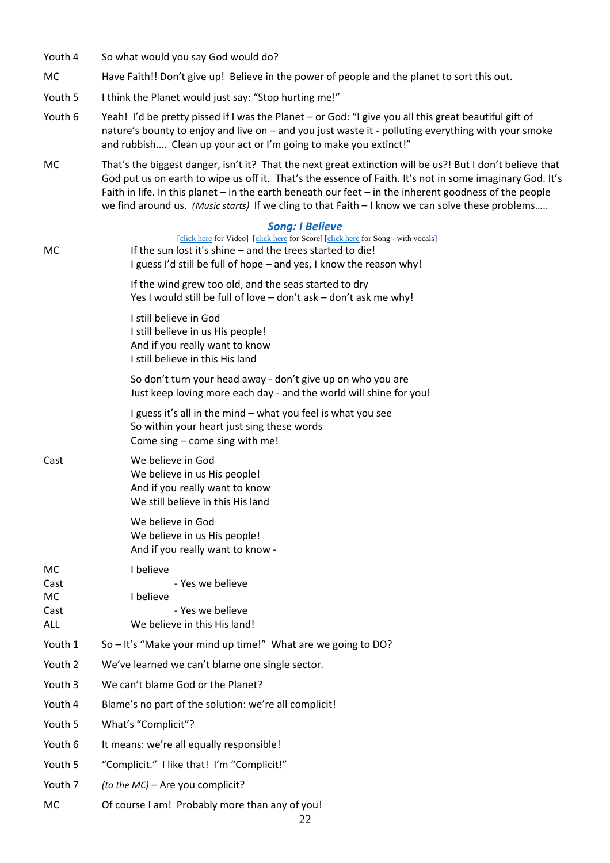- Youth 4 So what would you say God would do?
- MC Have Faith!! Don't give up! Believe in the power of people and the planet to sort this out.

Youth 5 I think the Planet would just say: "Stop hurting me!"

- Youth 6 Yeah! I'd be pretty pissed if I was the Planet or God: "I give you all this great beautiful gift of nature's bounty to enjoy and live on – and you just waste it - polluting everything with your smoke and rubbish…. Clean up your act or I'm going to make you extinct!"
- MC That's the biggest danger, isn't it? That the next great extinction will be us?! But I don't believe that God put us on earth to wipe us off it. That's the essence of Faith. It's not in some imaginary God. It's Faith in life. In this planet – in the earth beneath our feet – in the inherent goodness of the people we find around us. *(Music starts)* If we cling to that Faith – I know we can solve these problems.....

#### *[Song: I Believe](https://www.youtube.com/watch?v=zkKlsszXxtM)*

| MC                              | <b>SUILG. I DETIEVE</b><br>[click here for Video] [click here for Score] [click here for Song - with vocals]<br>If the sun lost it's shine - and the trees started to die!<br>I guess I'd still be full of hope - and yes, I know the reason why! |
|---------------------------------|---------------------------------------------------------------------------------------------------------------------------------------------------------------------------------------------------------------------------------------------------|
|                                 | If the wind grew too old, and the seas started to dry<br>Yes I would still be full of love - don't ask - don't ask me why!                                                                                                                        |
|                                 | I still believe in God<br>I still believe in us His people!<br>And if you really want to know<br>I still believe in this His land                                                                                                                 |
|                                 | So don't turn your head away - don't give up on who you are<br>Just keep loving more each day - and the world will shine for you!                                                                                                                 |
|                                 | I guess it's all in the mind - what you feel is what you see<br>So within your heart just sing these words<br>Come sing - come sing with me!                                                                                                      |
| Cast                            | We believe in God<br>We believe in us His people!<br>And if you really want to know<br>We still believe in this His land                                                                                                                          |
|                                 | We believe in God<br>We believe in us His people!<br>And if you really want to know -                                                                                                                                                             |
| МC<br>Cast<br>МC<br>Cast<br>ALL | I believe<br>- Yes we believe<br>I believe<br>- Yes we believe<br>We believe in this His land!                                                                                                                                                    |
| Youth 1                         | So - It's "Make your mind up time!" What are we going to DO?                                                                                                                                                                                      |
| Youth 2                         | We've learned we can't blame one single sector.                                                                                                                                                                                                   |
| Youth 3                         | We can't blame God or the Planet?                                                                                                                                                                                                                 |
| Youth 4                         | Blame's no part of the solution: we're all complicit!                                                                                                                                                                                             |
| Youth 5                         | What's "Complicit"?                                                                                                                                                                                                                               |
| Youth 6                         | It means: we're all equally responsible!                                                                                                                                                                                                          |
| Youth 5                         | "Complicit." I like that! I'm "Complicit!"                                                                                                                                                                                                        |
| Youth 7                         | (to the MC) - Are you complicit?                                                                                                                                                                                                                  |
| MC                              | Of course I am! Probably more than any of you!                                                                                                                                                                                                    |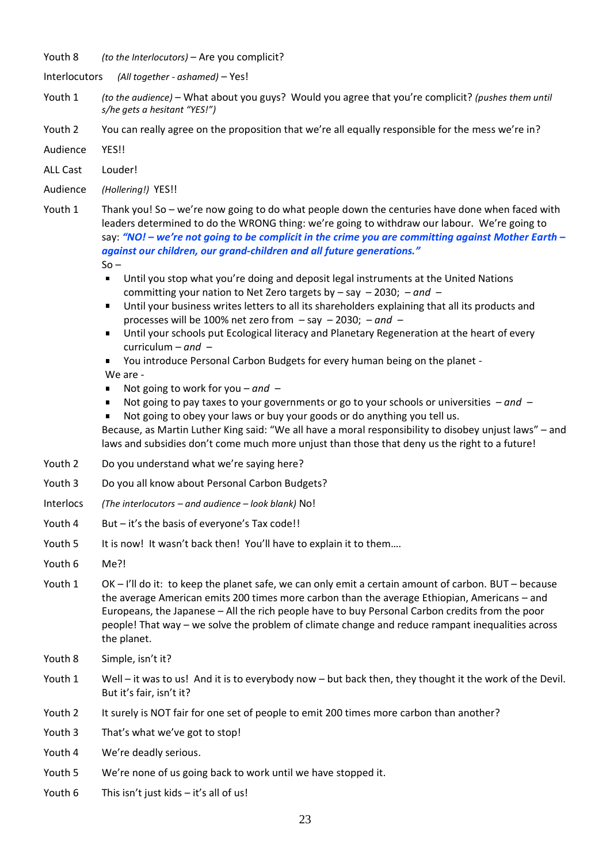Youth 8 *(to the Interlocutors)* – Are you complicit?

Interlocutors *(All together - ashamed)* – Yes!

- Youth 1 *(to the audience)* What about you guys? Would you agree that you're complicit? *(pushes them until s/he gets a hesitant "YES!")*
- Youth 2 You can really agree on the proposition that we're all equally responsible for the mess we're in?
- Audience YES!!
- ALL Cast Louder!
- Audience *(Hollering!)* YES!!
- Youth 1 Thank you! So we're now going to do what people down the centuries have done when faced with leaders determined to do the WRONG thing: we're going to withdraw our labour. We're going to say: *"NO! – we're not going to be complicit in the crime you are committing against Mother Earth – against our children, our grand-children and all future generations."*  $So -$ 
	- Until you stop what you're doing and deposit legal instruments at the United Nations committing your nation to Net Zero targets by – say – 2030; *– and –*
	- Until your business writes letters to all its shareholders explaining that all its products and processes will be 100% net zero from – say – 2030; *– and –*
	- Until your schools put Ecological literacy and Planetary Regeneration at the heart of every  $\blacksquare$ curriculum *– and –*
	- You introduce Personal Carbon Budgets for every human being on the planet -

#### We are -

- Not going to work for you *– and –*
- Not going to pay taxes to your governments or go to your schools or universities *– and –*
- Not going to obey your laws or buy your goods or do anything you tell us.

Because, as Martin Luther King said: "We all have a moral responsibility to disobey unjust laws" – and laws and subsidies don't come much more unjust than those that deny us the right to a future!

- Youth 2 Do you understand what we're saying here?
- Youth 3 Do you all know about Personal Carbon Budgets?
- Interlocs *(The interlocutors – and audience – look blank)* No!
- Youth 4 But it's the basis of everyone's Tax code!!
- Youth 5 It is now! It wasn't back then! You'll have to explain it to them....
- Youth 6 Me?!
- Youth 1 OK I'll do it: to keep the planet safe, we can only emit a certain amount of carbon. BUT because the average American emits 200 times more carbon than the average Ethiopian, Americans – and Europeans, the Japanese – All the rich people have to buy Personal Carbon credits from the poor people! That way – we solve the problem of climate change and reduce rampant inequalities across the planet.
- Youth 8 Simple, isn't it?
- Youth 1 Well it was to us! And it is to everybody now but back then, they thought it the work of the Devil. But it's fair, isn't it?
- Youth 2 It surely is NOT fair for one set of people to emit 200 times more carbon than another?
- Youth 3 That's what we've got to stop!
- Youth 4 We're deadly serious.
- Youth 5 We're none of us going back to work until we have stopped it.
- Youth 6 This isn't just kids it's all of us!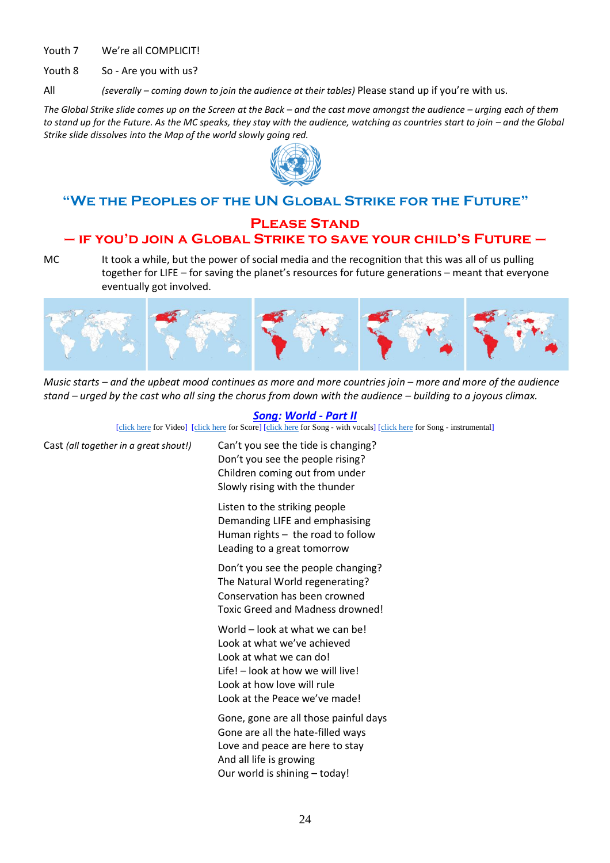Youth 7 We're all COMPLICIT!

Youth 8 So - Are you with us?

All *(severally – coming down to join the audience at their tables)* Please stand up if you're with us.

*The Global Strike slide comes up on the Screen at the Back – and the cast move amongst the audience – urging each of them to stand up for the Future. As the MC speaks, they stay with the audience, watching as countries start to join – and the Global Strike slide dissolves into the Map of the world slowly going red.*



# **"We the Peoples of the UN Global Strike for the Future"**

# **Please Stand – if you'd join a Global Strike to save your child's Future –**

MC It took a while, but the power of social media and the recognition that this was all of us pulling together for LIFE – for saving the planet's resources for future generations – meant that everyone eventually got involved.



*Music starts – and the upbeat mood continues as more and more countries join – more and more of the audience stand – urged by the cast who all sing the chorus from down with the audience – building to a joyous climax.* 

#### *Song: World - Part II*

[\[click here](https://www.peacechildthemusical.com/wp-content/uploads/2021/06/World-backtrack-in-E.mp4) for Video] [\[click here](http://www.peacechildthemusical.com/wp-content/uploads/2018/10/World.m4a) for Score] [click here for Song - with vocals] [click here for Song - instrumental]

| Cast (all together in a great shout!) | Can't you see the tide is changing?<br>Don't you see the people rising?<br>Children coming out from under<br>Slowly rising with the thunder                                                   |  |
|---------------------------------------|-----------------------------------------------------------------------------------------------------------------------------------------------------------------------------------------------|--|
|                                       | Listen to the striking people<br>Demanding LIFE and emphasising<br>Human rights - the road to follow<br>Leading to a great tomorrow                                                           |  |
|                                       | Don't you see the people changing?<br>The Natural World regenerating?<br>Conservation has been crowned<br><b>Toxic Greed and Madness drowned!</b>                                             |  |
|                                       | World - look at what we can be!<br>Look at what we've achieved<br>Look at what we can do!<br>Life! - look at how we will live!<br>Look at how love will rule<br>Look at the Peace we've made! |  |
|                                       | Gone, gone are all those painful days<br>Gone are all the hate-filled ways<br>Love and peace are here to stay<br>And all life is growing<br>Our world is shining - today!                     |  |
|                                       | $\sim$ $\lambda$                                                                                                                                                                              |  |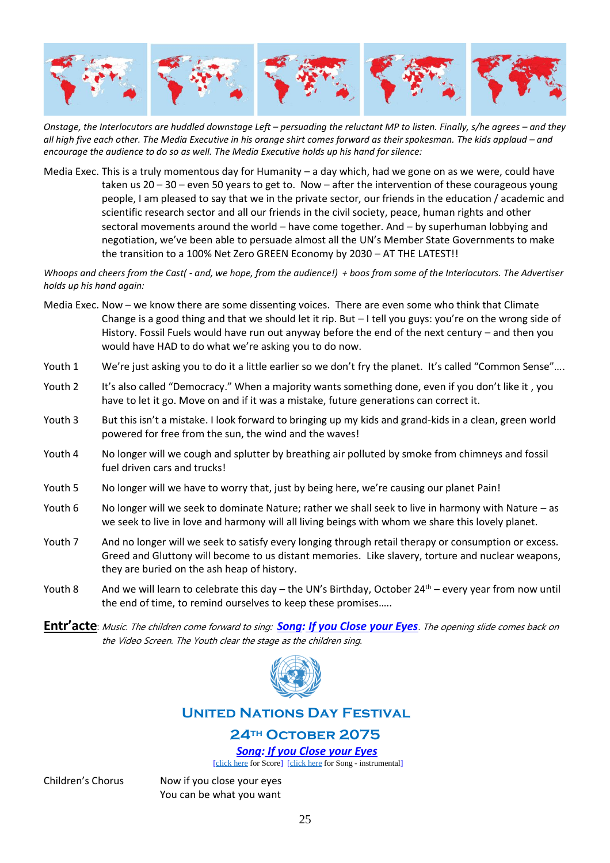

*Onstage, the Interlocutors are huddled downstage Left – persuading the reluctant MP to listen. Finally, s/he agrees – and they*  all high five each other. The Media Executive in his orange shirt comes forward as their spokesman. The kids applaud – and *encourage the audience to do so as well. The Media Executive holds up his hand for silence:*

Media Exec. This is a truly momentous day for Humanity – a day which, had we gone on as we were, could have taken us  $20 - 30$  – even 50 years to get to. Now – after the intervention of these courageous young people, I am pleased to say that we in the private sector, our friends in the education / academic and scientific research sector and all our friends in the civil society, peace, human rights and other sectoral movements around the world – have come together. And – by superhuman lobbying and negotiation, we've been able to persuade almost all the UN's Member State Governments to make the transition to a 100% Net Zero GREEN Economy by 2030 – AT THE LATEST!!

*Whoops and cheers from the Cast( - and, we hope, from the audience!) + boos from some of the Interlocutors. The Advertiser holds up his hand again:*

- Media Exec. Now we know there are some dissenting voices. There are even some who think that Climate Change is a good thing and that we should let it rip. But – I tell you guys: you're on the wrong side of History. Fossil Fuels would have run out anyway before the end of the next century – and then you would have HAD to do what we're asking you to do now.
- Youth 1 We're just asking you to do it a little earlier so we don't fry the planet. It's called "Common Sense"....
- Youth 2 It's also called "Democracy." When a majority wants something done, even if you don't like it, you have to let it go. Move on and if it was a mistake, future generations can correct it.
- Youth 3 But this isn't a mistake. I look forward to bringing up my kids and grand-kids in a clean, green world powered for free from the sun, the wind and the waves!
- Youth 4 No longer will we cough and splutter by breathing air polluted by smoke from chimneys and fossil fuel driven cars and trucks!
- Youth 5 No longer will we have to worry that, just by being here, we're causing our planet Pain!
- Youth 6 No longer will we seek to dominate Nature; rather we shall seek to live in harmony with Nature as we seek to live in love and harmony will all living beings with whom we share this lovely planet.
- Youth 7 And no longer will we seek to satisfy every longing through retail therapy or consumption or excess. Greed and Gluttony will become to us distant memories. Like slavery, torture and nuclear weapons, they are buried on the ash heap of history.
- Youth 8 And we will learn to celebrate this day the UN's Birthday, October  $24<sup>th</sup>$  every year from now until the end of time, to remind ourselves to keep these promises…..
- **Entr'acte**: Music. The children come forward to sing: *Song: If you Close your Eyes*. The opening slide comes back on the Video Screen. The Youth clear the stage as the children sing.



# **United Nations Day Festival**

# **24th October 2075**

*Song: If you Close your Eyes*

[\[click here](http://www.peacechildthemusical.com/wp-content/uploads/2018/11/7.-If-you-close-your-eyes-Instrumental.m4a) for Score] [click here for Song - instrumental]

Children's Chorus Now if you close your eyes You can be what you want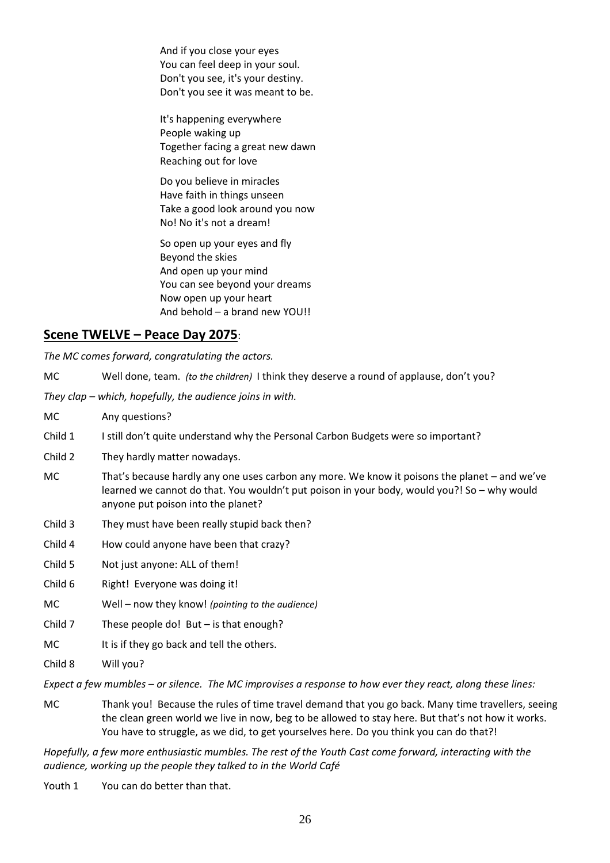And if you close your eyes You can feel deep in your soul. Don't you see, it's your destiny. Don't you see it was meant to be.

It's happening everywhere People waking up Together facing a great new dawn Reaching out for love

Do you believe in miracles Have faith in things unseen Take a good look around you now No! No it's not a dream!

So open up your eyes and fly Beyond the skies And open up your mind You can see beyond your dreams Now open up your heart And behold – a brand new YOU!!

# **Scene TWELVE – Peace Day 2075**:

*The MC comes forward, congratulating the actors.*

MC Well done, team. *(to the children)* I think they deserve a round of applause, don't you?

*They clap – which, hopefully, the audience joins in with.*

- MC Any questions?
- Child 1 I still don't quite understand why the Personal Carbon Budgets were so important?
- Child 2 They hardly matter nowadays.
- MC That's because hardly any one uses carbon any more. We know it poisons the planet and we've learned we cannot do that. You wouldn't put poison in your body, would you?! So – why would anyone put poison into the planet?
- Child 3 They must have been really stupid back then?
- Child 4 How could anyone have been that crazy?
- Child 5 Not just anyone: ALL of them!
- Child 6 Right! Everyone was doing it!
- MC Well now they know! *(pointing to the audience)*
- Child  $7$  These people do! But is that enough?
- MC It is if they go back and tell the others.

Child 8 Will you?

*Expect a few mumbles – or silence. The MC improvises a response to how ever they react, along these lines:*

MC Thank you! Because the rules of time travel demand that you go back. Many time travellers, seeing the clean green world we live in now, beg to be allowed to stay here. But that's not how it works. You have to struggle, as we did, to get yourselves here. Do you think you can do that?!

*Hopefully, a few more enthusiastic mumbles. The rest of the Youth Cast come forward, interacting with the audience, working up the people they talked to in the World Café*

Youth 1 You can do better than that.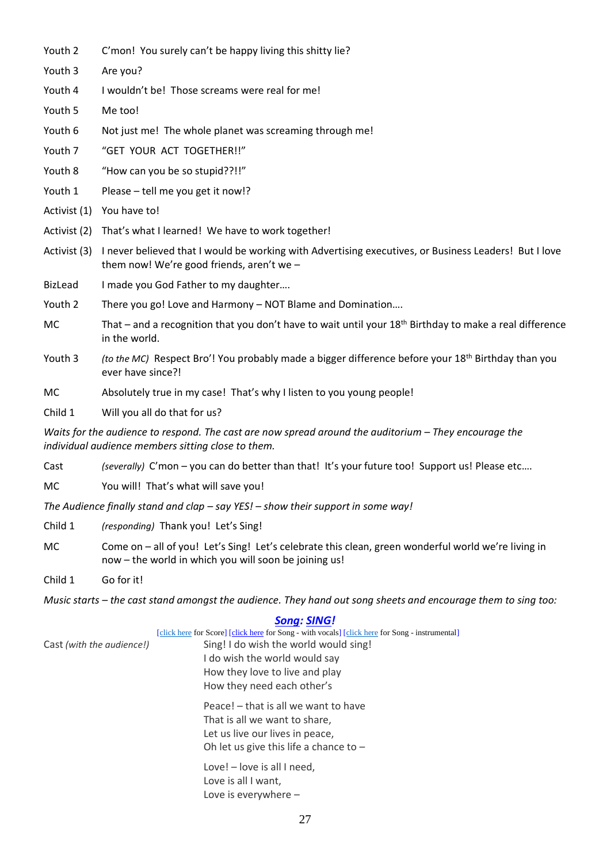- Youth 2 C'mon! You surely can't be happy living this shitty lie?
- Youth 3 Are you?
- Youth 4 I wouldn't be! Those screams were real for me!
- Youth 5 Me too!
- Youth 6 Not just me! The whole planet was screaming through me!
- Youth 7 "GET YOUR ACT TOGETHER!!"
- Youth 8 "How can you be so stupid??!!"
- Youth 1 Please tell me you get it now!?
- Activist (1) You have to!
- Activist (2) That's what I learned! We have to work together!
- Activist (3) I never believed that I would be working with Advertising executives, or Business Leaders! But I love them now! We're good friends, aren't we –
- BizLead I made you God Father to my daughter....
- Youth 2 There you go! Love and Harmony NOT Blame and Domination….
- MC That and a recognition that you don't have to wait until your  $18<sup>th</sup>$  Birthday to make a real difference in the world.
- Youth 3 *(to the MC)* Respect Bro'! You probably made a bigger difference before your 18<sup>th</sup> Birthday than you ever have since?!
- MC Absolutely true in my case! That's why I listen to you young people!
- Child 1 Will you all do that for us?

*Waits for the audience to respond. The cast are now spread around the auditorium – They encourage the individual audience members sitting close to them.* 

Cast *(severally)* C'mon – you can do better than that! It's your future too! Support us! Please etc….

MC You will! That's what will save you!

*The Audience finally stand and clap – say YES! – show their support in some way!*

Child 1 *(responding)* Thank you! Let's Sing!

MC Come on – all of you! Let's Sing! Let's celebrate this clean, green wonderful world we're living in now – the world in which you will soon be joining us!

Child 1 Go for it!

*Music starts – the cast stand amongst the audience. They hand out song sheets and encourage them to sing too:*

|                           | <b>Song: SING!</b>                                                                              |
|---------------------------|-------------------------------------------------------------------------------------------------|
|                           | [click here for Score] [click here for Song - with vocals] [click here for Song - instrumental] |
| Cast (with the audience!) | Sing! I do wish the world would sing!                                                           |
|                           | I do wish the world would say                                                                   |
|                           | How they love to live and play                                                                  |
|                           | How they need each other's                                                                      |
|                           | Peace! – that is all we want to have                                                            |
|                           | That is all we want to share,                                                                   |
|                           | Let us live our lives in peace,                                                                 |
|                           | Oh let us give this life a chance to $-$                                                        |
|                           | Love! - love is all I need,                                                                     |
|                           | Love is all I want,                                                                             |
|                           | Love is everywhere $-$                                                                          |